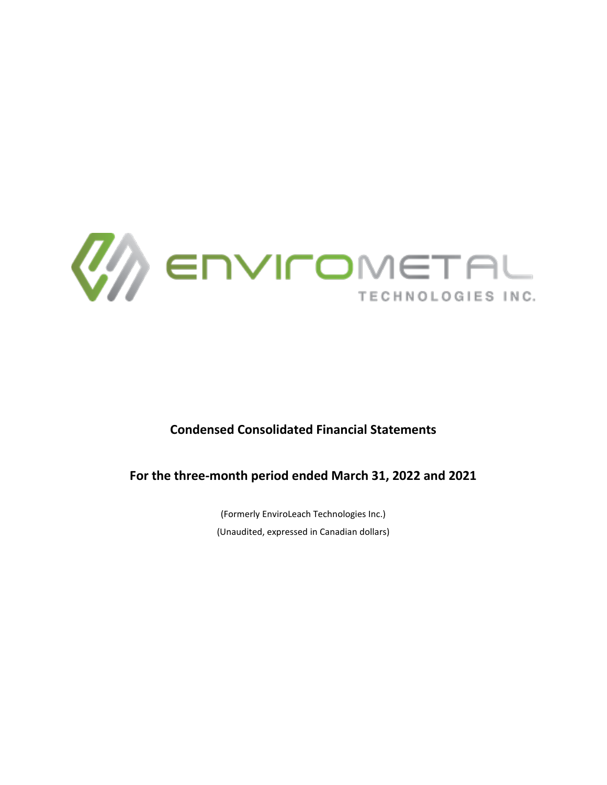

# **Condensed Consolidated Financial Statements**

**For the three-month period ended March 31, 2022 and 2021**

(Formerly EnviroLeach Technologies Inc.) (Unaudited, expressed in Canadian dollars)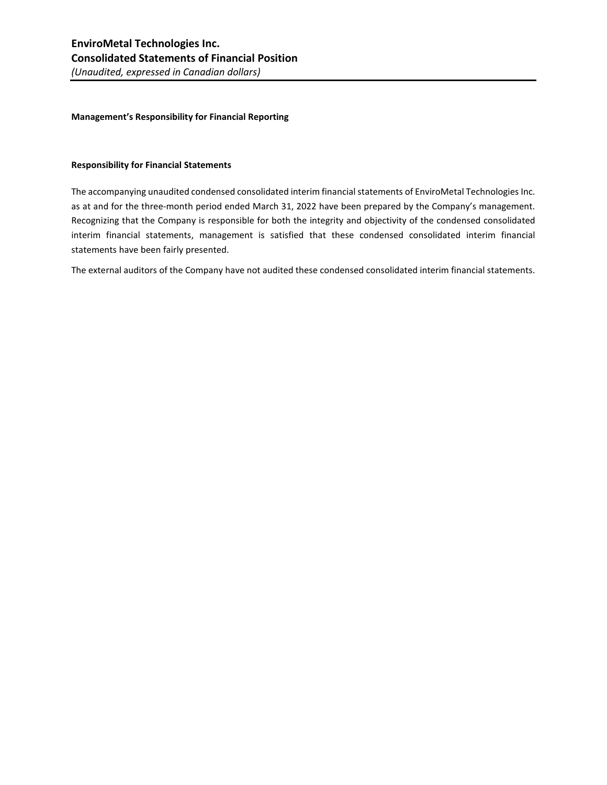#### **Management's Responsibility for Financial Reporting**

#### **Responsibility for Financial Statements**

The accompanying unaudited condensed consolidated interim financial statements of EnviroMetal Technologies Inc. as at and for the three-month period ended March 31, 2022 have been prepared by the Company's management. Recognizing that the Company is responsible for both the integrity and objectivity of the condensed consolidated interim financial statements, management is satisfied that these condensed consolidated interim financial statements have been fairly presented.

The external auditors of the Company have not audited these condensed consolidated interim financial statements.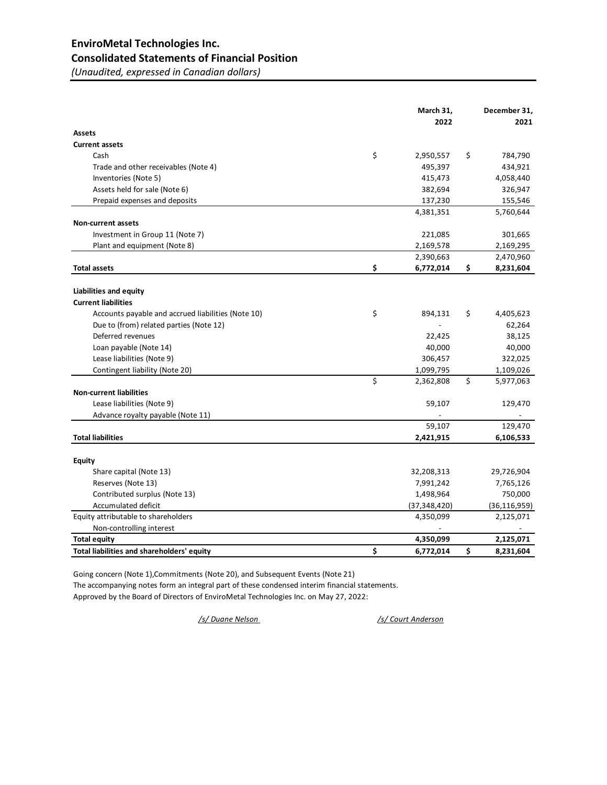# **EnviroMetal Technologies Inc. Consolidated Statements of Financial Position**

*(Unaudited, expressed in Canadian dollars)*

|                                                    | March 31,<br>2022 | December 31,<br>2021 |
|----------------------------------------------------|-------------------|----------------------|
| <b>Assets</b>                                      |                   |                      |
| <b>Current assets</b>                              |                   |                      |
| Cash                                               | \$<br>2,950,557   | \$<br>784,790        |
| Trade and other receivables (Note 4)               | 495,397           | 434,921              |
| Inventories (Note 5)                               | 415,473           | 4,058,440            |
| Assets held for sale (Note 6)                      | 382,694           | 326,947              |
| Prepaid expenses and deposits                      | 137,230           | 155,546              |
|                                                    | 4,381,351         | 5,760,644            |
| <b>Non-current assets</b>                          |                   |                      |
| Investment in Group 11 (Note 7)                    | 221,085           | 301,665              |
| Plant and equipment (Note 8)                       | 2,169,578         | 2,169,295            |
|                                                    | 2,390,663         | 2,470,960            |
| <b>Total assets</b>                                | \$<br>6,772,014   | \$<br>8,231,604      |
|                                                    |                   |                      |
| Liabilities and equity                             |                   |                      |
| <b>Current liabilities</b>                         |                   |                      |
| Accounts payable and accrued liabilities (Note 10) | \$<br>894,131     | \$<br>4,405,623      |
| Due to (from) related parties (Note 12)            |                   | 62,264               |
| Deferred revenues                                  | 22,425            | 38,125               |
| Loan payable (Note 14)                             | 40,000            | 40,000               |
| Lease liabilities (Note 9)                         | 306,457           | 322,025              |
| Contingent liability (Note 20)                     | 1,099,795         | 1,109,026            |
|                                                    | \$<br>2,362,808   | \$<br>5,977,063      |
| <b>Non-current liabilities</b>                     |                   |                      |
| Lease liabilities (Note 9)                         | 59,107            | 129,470              |
| Advance royalty payable (Note 11)                  |                   |                      |
|                                                    | 59,107            | 129,470              |
| <b>Total liabilities</b>                           | 2,421,915         | 6,106,533            |
|                                                    |                   |                      |
| <b>Equity</b>                                      |                   |                      |
| Share capital (Note 13)                            | 32,208,313        | 29,726,904           |
| Reserves (Note 13)                                 | 7,991,242         | 7,765,126            |
| Contributed surplus (Note 13)                      | 1,498,964         | 750,000              |
| Accumulated deficit                                | (37, 348, 420)    | (36, 116, 959)       |
| Equity attributable to shareholders                | 4,350,099         | 2,125,071            |
| Non-controlling interest                           |                   |                      |
| <b>Total equity</b>                                | 4,350,099         | 2,125,071            |
| Total liabilities and shareholders' equity         | \$<br>6,772,014   | \$<br>8,231,604      |

Going concern (Note 1),Commitments (Note 20), and Subsequent Events (Note 21) The accompanying notes form an integral part of these condensed interim financial statements. Approved by the Board of Directors of EnviroMetal Technologies Inc. on May 27, 2022:

*/s/ Duane Nelson /s/ Court Anderson*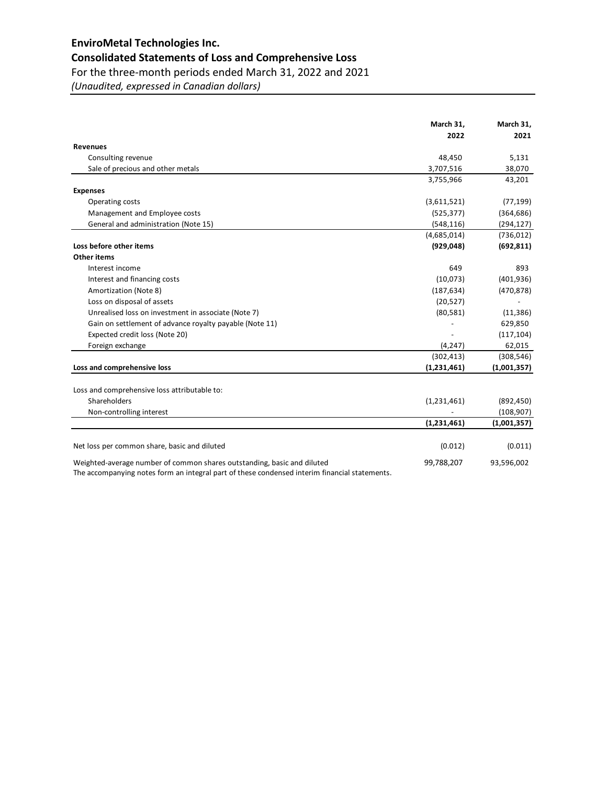# **EnviroMetal Technologies Inc.**

# **Consolidated Statements of Loss and Comprehensive Loss**

For the three-month periods ended March 31, 2022 and 2021

*(Unaudited, expressed in Canadian dollars)*

|                                                                                                                                                                          | March 31,     | March 31,   |
|--------------------------------------------------------------------------------------------------------------------------------------------------------------------------|---------------|-------------|
|                                                                                                                                                                          | 2022          | 2021        |
| <b>Revenues</b>                                                                                                                                                          |               |             |
| Consulting revenue                                                                                                                                                       | 48,450        | 5,131       |
| Sale of precious and other metals                                                                                                                                        | 3,707,516     | 38,070      |
|                                                                                                                                                                          | 3,755,966     | 43,201      |
| <b>Expenses</b>                                                                                                                                                          |               |             |
| Operating costs                                                                                                                                                          | (3,611,521)   | (77, 199)   |
| Management and Employee costs                                                                                                                                            | (525, 377)    | (364, 686)  |
| General and administration (Note 15)                                                                                                                                     | (548, 116)    | (294, 127)  |
|                                                                                                                                                                          | (4,685,014)   | (736, 012)  |
| Loss before other items                                                                                                                                                  | (929, 048)    | (692, 811)  |
| <b>Other items</b>                                                                                                                                                       |               |             |
| Interest income                                                                                                                                                          | 649           | 893         |
| Interest and financing costs                                                                                                                                             | (10,073)      | (401, 936)  |
| Amortization (Note 8)                                                                                                                                                    | (187, 634)    | (470, 878)  |
| Loss on disposal of assets                                                                                                                                               | (20, 527)     |             |
| Unrealised loss on investment in associate (Note 7)                                                                                                                      | (80, 581)     | (11, 386)   |
| Gain on settlement of advance royalty payable (Note 11)                                                                                                                  |               | 629,850     |
| Expected credit loss (Note 20)                                                                                                                                           |               | (117, 104)  |
| Foreign exchange                                                                                                                                                         | (4, 247)      | 62,015      |
|                                                                                                                                                                          | (302, 413)    | (308, 546)  |
| Loss and comprehensive loss                                                                                                                                              | (1,231,461)   | (1,001,357) |
|                                                                                                                                                                          |               |             |
| Loss and comprehensive loss attributable to:                                                                                                                             |               |             |
| Shareholders                                                                                                                                                             | (1,231,461)   | (892, 450)  |
| Non-controlling interest                                                                                                                                                 |               | (108, 907)  |
|                                                                                                                                                                          | (1, 231, 461) | (1,001,357) |
| Net loss per common share, basic and diluted                                                                                                                             | (0.012)       | (0.011)     |
|                                                                                                                                                                          |               |             |
| Weighted-average number of common shares outstanding, basic and diluted<br>The accompanying notes form an integral part of these condensed interim financial statements. | 99,788,207    | 93,596,002  |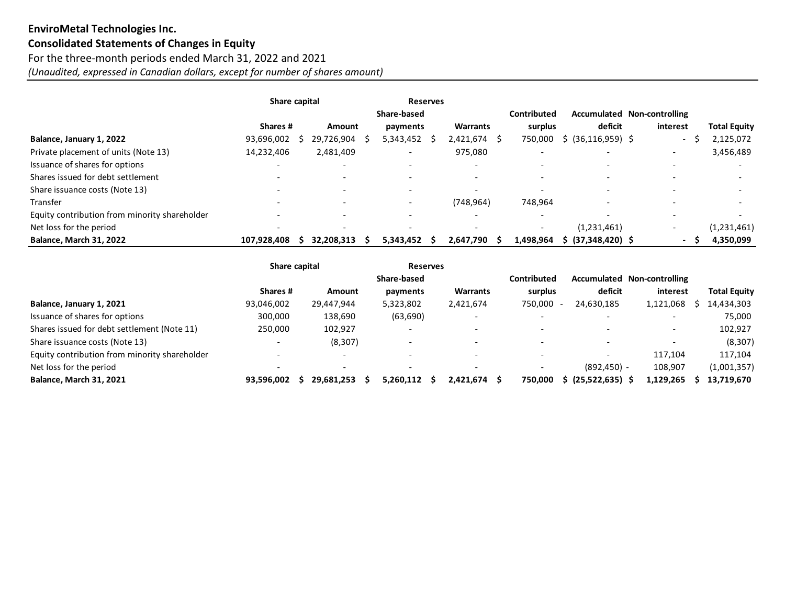# **EnviroMetal Technologies Inc. Consolidated Statements of Changes in Equity** For the three-month periods ended March 31, 2022 and 2021 *(Unaudited, expressed in Canadian dollars, except for number of shares amount)*

|                                               | Share capital |                          | <b>Reserves</b>          |                          |                          |                          |                             |                     |
|-----------------------------------------------|---------------|--------------------------|--------------------------|--------------------------|--------------------------|--------------------------|-----------------------------|---------------------|
|                                               |               |                          | Share-based              |                          | Contributed              |                          | Accumulated Non-controlling |                     |
|                                               | Shares #      | Amount                   | payments                 | <b>Warrants</b>          | surplus                  | deficit                  | interest                    | <b>Total Equity</b> |
| Balance, January 1, 2022                      | 93,696,002    | 29,726,904               | 5,343,452                | 2,421,674 \$             | 750,000                  | $$$ (36,116,959) \$      | $\overline{\phantom{a}}$    | 2,125,072           |
| Private placement of units (Note 13)          | 14,232,406    | 2,481,409                |                          | 975,080                  |                          | $\overline{\phantom{0}}$ | $\overline{\phantom{a}}$    | 3,456,489           |
| Issuance of shares for options                |               | $\overline{\phantom{0}}$ |                          |                          |                          | $\overline{\phantom{0}}$ |                             |                     |
| Shares issued for debt settlement             |               | $\overline{\phantom{0}}$ | $\overline{\phantom{0}}$ |                          |                          | $\overline{\phantom{0}}$ |                             |                     |
| Share issuance costs (Note 13)                |               | $\overline{\phantom{0}}$ | $\overline{\phantom{0}}$ | $\overline{\phantom{0}}$ | $\overline{\phantom{0}}$ | $\overline{\phantom{0}}$ |                             |                     |
| Transfer                                      |               |                          | $\overline{\phantom{0}}$ | (748, 964)               | 748,964                  | $\overline{\phantom{0}}$ |                             |                     |
| Equity contribution from minority shareholder |               |                          |                          |                          |                          |                          |                             |                     |
| Net loss for the period                       |               | $\overline{\phantom{0}}$ | $\overline{\phantom{0}}$ |                          | $\overline{\phantom{0}}$ | (1,231,461)              |                             | (1,231,461)         |
| <b>Balance, March 31, 2022</b>                | 107,928,408   | 32.208.313               | 5,343,452                | 2,647,790                | 1,498,964                | (37,348,420) \$          | $\sim$                      | 4,350,099           |

|                                               | Share capital |                          | <b>Reserves</b> |                 |                          |                          |                             |                     |
|-----------------------------------------------|---------------|--------------------------|-----------------|-----------------|--------------------------|--------------------------|-----------------------------|---------------------|
|                                               |               |                          | Share-based     |                 | Contributed              |                          | Accumulated Non-controlling |                     |
|                                               | Shares #      | Amount                   | payments        | <b>Warrants</b> | surplus                  | deficit                  | interest                    | <b>Total Equity</b> |
| Balance, January 1, 2021                      | 93,046,002    | 29,447,944               | 5,323,802       | 2,421,674       | 750,000                  | 24,630,185               | 1,121,068                   | 14,434,303          |
| Issuance of shares for options                | 300,000       | 138,690                  | (63, 690)       |                 |                          |                          |                             | 75,000              |
| Shares issued for debt settlement (Note 11)   | 250,000       | 102,927                  |                 |                 |                          |                          | $\overline{\phantom{0}}$    | 102,927             |
| Share issuance costs (Note 13)                |               | (8, 307)                 |                 |                 | $\overline{\phantom{a}}$ | $\overline{\phantom{0}}$ | $\overline{\phantom{0}}$    | (8, 307)            |
| Equity contribution from minority shareholder |               | $\overline{\phantom{0}}$ |                 |                 |                          |                          | 117,104                     | 117,104             |
| Net loss for the period                       |               | $\overline{\phantom{0}}$ |                 |                 |                          | $(892, 450) -$           | 108,907                     | (1,001,357)         |
| <b>Balance, March 31, 2021</b>                | 93.596.002    | 29.681.253               | 5.260.112       | 2.421.674       | 750.000<br>-S            | $(25,522,635)$ \$        | 1,129,265                   | 13,719,670          |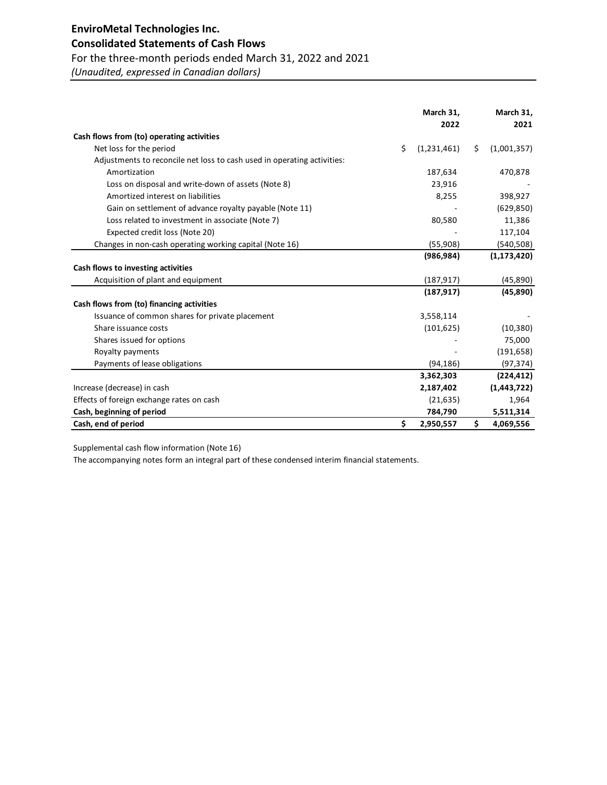# **EnviroMetal Technologies Inc.**

# **Consolidated Statements of Cash Flows**

# For the three-month periods ended March 31, 2022 and 2021

*(Unaudited, expressed in Canadian dollars)*

|                                                                         | March 31,<br>2022 |    | March 31,<br>2021 |
|-------------------------------------------------------------------------|-------------------|----|-------------------|
| Cash flows from (to) operating activities                               |                   |    |                   |
| Net loss for the period                                                 | \$<br>(1,231,461) | Ś. |                   |
|                                                                         |                   |    | (1,001,357)       |
| Adjustments to reconcile net loss to cash used in operating activities: |                   |    |                   |
| Amortization                                                            | 187,634           |    | 470,878           |
| Loss on disposal and write-down of assets (Note 8)                      | 23,916            |    |                   |
| Amortized interest on liabilities                                       | 8,255             |    | 398,927           |
| Gain on settlement of advance royalty payable (Note 11)                 |                   |    | (629, 850)        |
| Loss related to investment in associate (Note 7)                        | 80,580            |    | 11,386            |
| Expected credit loss (Note 20)                                          |                   |    | 117,104           |
| Changes in non-cash operating working capital (Note 16)                 | (55,908)          |    | (540, 508)        |
|                                                                         | (986, 984)        |    | (1, 173, 420)     |
| Cash flows to investing activities                                      |                   |    |                   |
| Acquisition of plant and equipment                                      | (187, 917)        |    | (45,890)          |
|                                                                         | (187, 917)        |    | (45,890)          |
| Cash flows from (to) financing activities                               |                   |    |                   |
| Issuance of common shares for private placement                         | 3,558,114         |    |                   |
| Share issuance costs                                                    | (101, 625)        |    | (10, 380)         |
| Shares issued for options                                               |                   |    | 75,000            |
| Royalty payments                                                        |                   |    | (191, 658)        |
| Payments of lease obligations                                           | (94, 186)         |    | (97, 374)         |
|                                                                         | 3,362,303         |    | (224, 412)        |
| Increase (decrease) in cash                                             | 2,187,402         |    | (1,443,722)       |
| Effects of foreign exchange rates on cash                               | (21, 635)         |    | 1,964             |
| Cash, beginning of period                                               | 784,790           |    | 5,511,314         |
| Cash, end of period                                                     | \$<br>2,950,557   | \$ | 4,069,556         |

Supplemental cash flow information (Note 16)

The accompanying notes form an integral part of these condensed interim financial statements.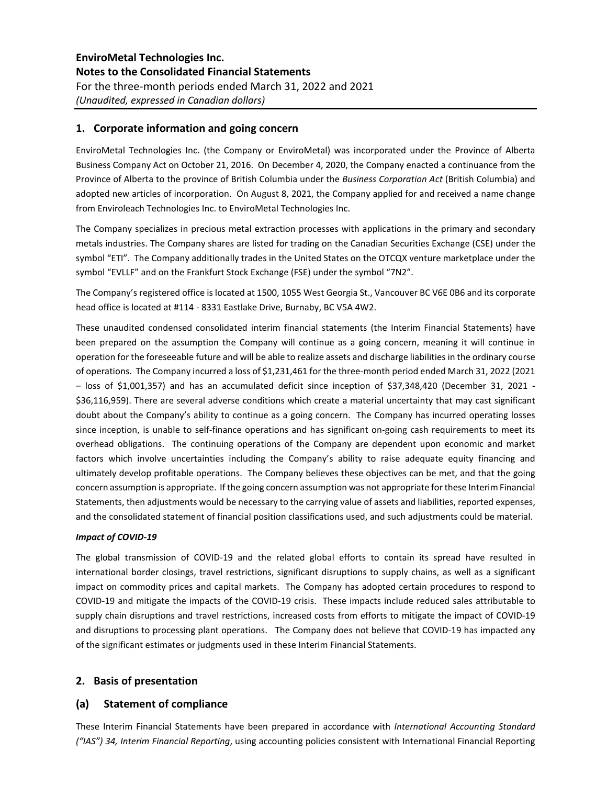### **1. Corporate information and going concern**

EnviroMetal Technologies Inc. (the Company or EnviroMetal) was incorporated under the Province of Alberta Business Company Act on October 21, 2016. On December 4, 2020, the Company enacted a continuance from the Province of Alberta to the province of British Columbia under the *Business Corporation Act* (British Columbia) and adopted new articles of incorporation. On August 8, 2021, the Company applied for and received a name change from Enviroleach Technologies Inc. to EnviroMetal Technologies Inc.

The Company specializes in precious metal extraction processes with applications in the primary and secondary metals industries. The Company shares are listed for trading on the Canadian Securities Exchange (CSE) under the symbol "ETI". The Company additionally trades in the United States on the OTCQX venture marketplace under the symbol "EVLLF" and on the Frankfurt Stock Exchange (FSE) under the symbol "7N2".

The Company's registered office is located at 1500, 1055 West Georgia St., Vancouver BC V6E 0B6 and its corporate head office is located at #114 - 8331 Eastlake Drive, Burnaby, BC V5A 4W2.

These unaudited condensed consolidated interim financial statements (the Interim Financial Statements) have been prepared on the assumption the Company will continue as a going concern, meaning it will continue in operation for the foreseeable future and will be able to realize assets and discharge liabilities in the ordinary course of operations. The Company incurred a loss of \$1,231,461 for the three-month period ended March 31, 2022 (2021 – loss of \$1,001,357) and has an accumulated deficit since inception of \$37,348,420 (December 31, 2021 - \$36,116,959). There are several adverse conditions which create a material uncertainty that may cast significant doubt about the Company's ability to continue as a going concern. The Company has incurred operating losses since inception, is unable to self-finance operations and has significant on-going cash requirements to meet its overhead obligations. The continuing operations of the Company are dependent upon economic and market factors which involve uncertainties including the Company's ability to raise adequate equity financing and ultimately develop profitable operations. The Company believes these objectives can be met, and that the going concern assumption is appropriate. If the going concern assumption was not appropriate for these Interim Financial Statements, then adjustments would be necessary to the carrying value of assets and liabilities, reported expenses, and the consolidated statement of financial position classifications used, and such adjustments could be material.

#### *Impact of COVID-19*

The global transmission of COVID-19 and the related global efforts to contain its spread have resulted in international border closings, travel restrictions, significant disruptions to supply chains, as well as a significant impact on commodity prices and capital markets. The Company has adopted certain procedures to respond to COVID-19 and mitigate the impacts of the COVID-19 crisis. These impacts include reduced sales attributable to supply chain disruptions and travel restrictions, increased costs from efforts to mitigate the impact of COVID-19 and disruptions to processing plant operations. The Company does not believe that COVID-19 has impacted any of the significant estimates or judgments used in these Interim Financial Statements.

### **2. Basis of presentation**

### **(a) Statement of compliance**

These Interim Financial Statements have been prepared in accordance with *International Accounting Standard ("IAS") 34, Interim Financial Reporting*, using accounting policies consistent with International Financial Reporting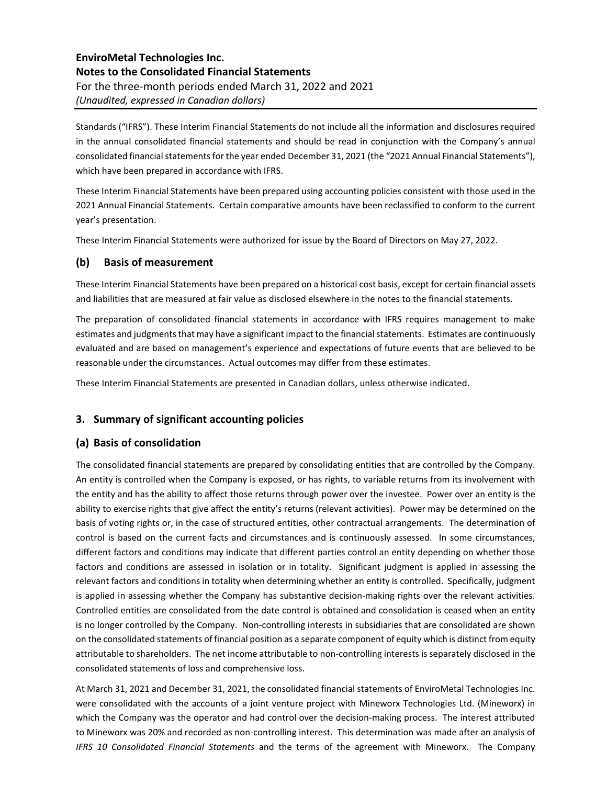Standards ("IFRS"). These Interim Financial Statements do not include all the information and disclosures required in the annual consolidated financial statements and should be read in conjunction with the Company's annual consolidated financial statements for the year ended December 31, 2021 (the "2021 Annual Financial Statements"), which have been prepared in accordance with IFRS.

These Interim Financial Statements have been prepared using accounting policies consistent with those used in the 2021 Annual Financial Statements. Certain comparative amounts have been reclassified to conform to the current year's presentation.

These Interim Financial Statements were authorized for issue by the Board of Directors on May 27, 2022.

### **(b) Basis of measurement**

These Interim Financial Statements have been prepared on a historical cost basis, except for certain financial assets and liabilities that are measured at fair value as disclosed elsewhere in the notes to the financial statements.

The preparation of consolidated financial statements in accordance with IFRS requires management to make estimates and judgments that may have a significant impact to the financial statements. Estimates are continuously evaluated and are based on management's experience and expectations of future events that are believed to be reasonable under the circumstances. Actual outcomes may differ from these estimates.

These Interim Financial Statements are presented in Canadian dollars, unless otherwise indicated.

### **3. Summary of significant accounting policies**

### **(a) Basis of consolidation**

The consolidated financial statements are prepared by consolidating entities that are controlled by the Company. An entity is controlled when the Company is exposed, or has rights, to variable returns from its involvement with the entity and has the ability to affect those returns through power over the investee. Power over an entity is the ability to exercise rights that give affect the entity's returns (relevant activities). Power may be determined on the basis of voting rights or, in the case of structured entities, other contractual arrangements. The determination of control is based on the current facts and circumstances and is continuously assessed. In some circumstances, different factors and conditions may indicate that different parties control an entity depending on whether those factors and conditions are assessed in isolation or in totality. Significant judgment is applied in assessing the relevant factors and conditions in totality when determining whether an entity is controlled. Specifically, judgment is applied in assessing whether the Company has substantive decision-making rights over the relevant activities. Controlled entities are consolidated from the date control is obtained and consolidation is ceased when an entity is no longer controlled by the Company. Non-controlling interests in subsidiaries that are consolidated are shown on the consolidated statements of financial position as a separate component of equity which is distinct from equity attributable to shareholders. The net income attributable to non-controlling interests is separately disclosed in the consolidated statements of loss and comprehensive loss.

At March 31, 2021 and December 31, 2021, the consolidated financial statements of EnviroMetal Technologies Inc. were consolidated with the accounts of a joint venture project with Mineworx Technologies Ltd. (Mineworx) in which the Company was the operator and had control over the decision-making process. The interest attributed to Mineworx was 20% and recorded as non-controlling interest. This determination was made after an analysis of *IFRS 10 Consolidated Financial Statements* and the terms of the agreement with Mineworx. The Company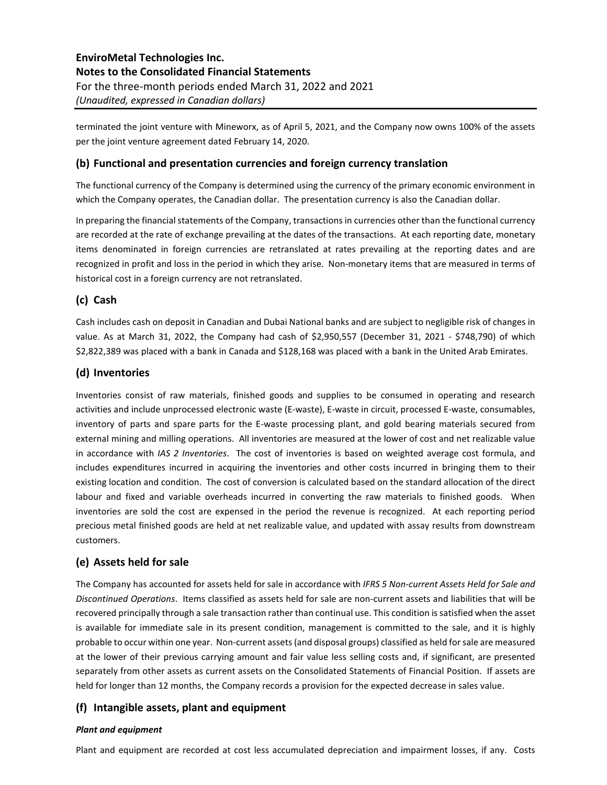terminated the joint venture with Mineworx, as of April 5, 2021, and the Company now owns 100% of the assets per the joint venture agreement dated February 14, 2020.

### **(b) Functional and presentation currencies and foreign currency translation**

The functional currency of the Company is determined using the currency of the primary economic environment in which the Company operates, the Canadian dollar. The presentation currency is also the Canadian dollar.

In preparing the financial statements of the Company, transactions in currencies other than the functional currency are recorded at the rate of exchange prevailing at the dates of the transactions. At each reporting date, monetary items denominated in foreign currencies are retranslated at rates prevailing at the reporting dates and are recognized in profit and loss in the period in which they arise. Non-monetary items that are measured in terms of historical cost in a foreign currency are not retranslated.

### **(c) Cash**

Cash includes cash on deposit in Canadian and Dubai National banks and are subject to negligible risk of changes in value. As at March 31, 2022, the Company had cash of \$2,950,557 (December 31, 2021 - \$748,790) of which \$2,822,389 was placed with a bank in Canada and \$128,168 was placed with a bank in the United Arab Emirates.

### **(d) Inventories**

Inventories consist of raw materials, finished goods and supplies to be consumed in operating and research activities and include unprocessed electronic waste (E-waste), E-waste in circuit, processed E-waste, consumables, inventory of parts and spare parts for the E-waste processing plant, and gold bearing materials secured from external mining and milling operations. All inventories are measured at the lower of cost and net realizable value in accordance with *IAS 2 Inventories*. The cost of inventories is based on weighted average cost formula, and includes expenditures incurred in acquiring the inventories and other costs incurred in bringing them to their existing location and condition. The cost of conversion is calculated based on the standard allocation of the direct labour and fixed and variable overheads incurred in converting the raw materials to finished goods. When inventories are sold the cost are expensed in the period the revenue is recognized. At each reporting period precious metal finished goods are held at net realizable value, and updated with assay results from downstream customers.

### **(e) Assets held for sale**

The Company has accounted for assets held for sale in accordance with *IFRS 5 Non-current Assets Held for Sale and Discontinued Operations*. Items classified as assets held for sale are non-current assets and liabilities that will be recovered principally through a sale transaction rather than continual use. This condition is satisfied when the asset is available for immediate sale in its present condition, management is committed to the sale, and it is highly probable to occur within one year. Non-current assets (and disposal groups) classified as held for sale are measured at the lower of their previous carrying amount and fair value less selling costs and, if significant, are presented separately from other assets as current assets on the Consolidated Statements of Financial Position. If assets are held for longer than 12 months, the Company records a provision for the expected decrease in sales value.

### **(f) Intangible assets, plant and equipment**

#### *Plant and equipment*

Plant and equipment are recorded at cost less accumulated depreciation and impairment losses, if any. Costs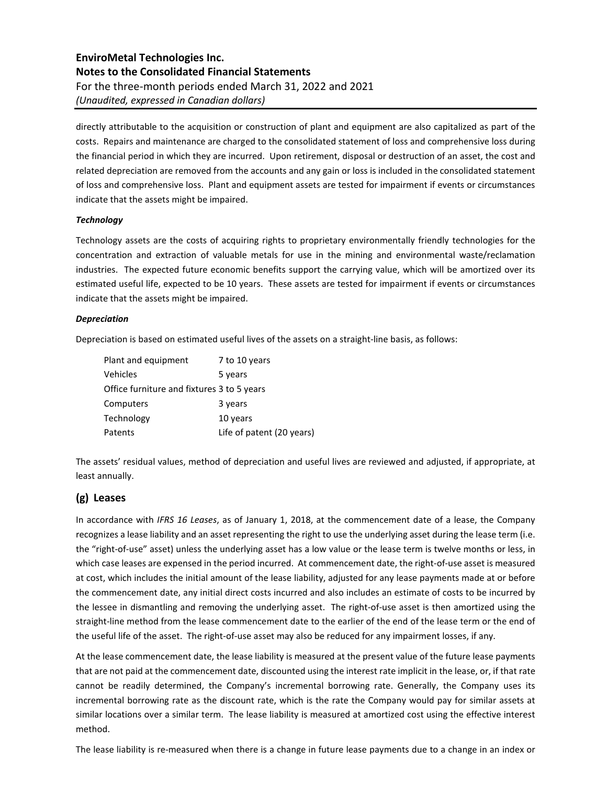directly attributable to the acquisition or construction of plant and equipment are also capitalized as part of the costs. Repairs and maintenance are charged to the consolidated statement of loss and comprehensive loss during the financial period in which they are incurred. Upon retirement, disposal or destruction of an asset, the cost and related depreciation are removed from the accounts and any gain or loss is included in the consolidated statement of loss and comprehensive loss. Plant and equipment assets are tested for impairment if events or circumstances indicate that the assets might be impaired.

#### *Technology*

Technology assets are the costs of acquiring rights to proprietary environmentally friendly technologies for the concentration and extraction of valuable metals for use in the mining and environmental waste/reclamation industries. The expected future economic benefits support the carrying value, which will be amortized over its estimated useful life, expected to be 10 years. These assets are tested for impairment if events or circumstances indicate that the assets might be impaired.

#### *Depreciation*

Depreciation is based on estimated useful lives of the assets on a straight-line basis, as follows:

| Plant and equipment                        | 7 to 10 years             |
|--------------------------------------------|---------------------------|
| Vehicles                                   | 5 years                   |
| Office furniture and fixtures 3 to 5 years |                           |
| Computers                                  | 3 years                   |
| Technology                                 | 10 years                  |
| Patents                                    | Life of patent (20 years) |

The assets' residual values, method of depreciation and useful lives are reviewed and adjusted, if appropriate, at least annually.

# **(g) Leases**

In accordance with *IFRS 16 Leases*, as of January 1, 2018, at the commencement date of a lease, the Company recognizes a lease liability and an asset representing the right to use the underlying asset during the lease term (i.e. the "right-of-use" asset) unless the underlying asset has a low value or the lease term is twelve months or less, in which case leases are expensed in the period incurred. At commencement date, the right-of-use asset is measured at cost, which includes the initial amount of the lease liability, adjusted for any lease payments made at or before the commencement date, any initial direct costs incurred and also includes an estimate of costs to be incurred by the lessee in dismantling and removing the underlying asset. The right-of-use asset is then amortized using the straight-line method from the lease commencement date to the earlier of the end of the lease term or the end of the useful life of the asset. The right-of-use asset may also be reduced for any impairment losses, if any.

At the lease commencement date, the lease liability is measured at the present value of the future lease payments that are not paid at the commencement date, discounted using the interest rate implicit in the lease, or, if that rate cannot be readily determined, the Company's incremental borrowing rate. Generally, the Company uses its incremental borrowing rate as the discount rate, which is the rate the Company would pay for similar assets at similar locations over a similar term. The lease liability is measured at amortized cost using the effective interest method.

The lease liability is re-measured when there is a change in future lease payments due to a change in an index or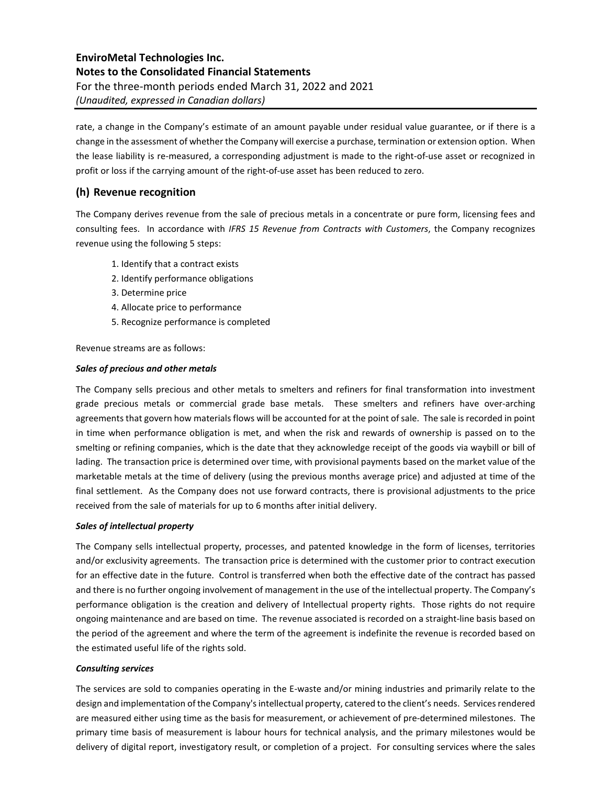rate, a change in the Company's estimate of an amount payable under residual value guarantee, or if there is a change in the assessment of whether the Company will exercise a purchase, termination or extension option. When the lease liability is re-measured, a corresponding adjustment is made to the right-of-use asset or recognized in profit or loss if the carrying amount of the right-of-use asset has been reduced to zero.

### **(h) Revenue recognition**

The Company derives revenue from the sale of precious metals in a concentrate or pure form, licensing fees and consulting fees. In accordance with *IFRS 15 Revenue from Contracts with Customers*, the Company recognizes revenue using the following 5 steps:

- 1. Identify that a contract exists
- 2. Identify performance obligations
- 3. Determine price
- 4. Allocate price to performance
- 5. Recognize performance is completed

Revenue streams are as follows:

#### *Sales of precious and other metals*

The Company sells precious and other metals to smelters and refiners for final transformation into investment grade precious metals or commercial grade base metals. These smelters and refiners have over-arching agreements that govern how materials flows will be accounted for at the point of sale. The sale is recorded in point in time when performance obligation is met, and when the risk and rewards of ownership is passed on to the smelting or refining companies, which is the date that they acknowledge receipt of the goods via waybill or bill of lading. The transaction price is determined over time, with provisional payments based on the market value of the marketable metals at the time of delivery (using the previous months average price) and adjusted at time of the final settlement. As the Company does not use forward contracts, there is provisional adjustments to the price received from the sale of materials for up to 6 months after initial delivery.

#### *Sales of intellectual property*

The Company sells intellectual property, processes, and patented knowledge in the form of licenses, territories and/or exclusivity agreements. The transaction price is determined with the customer prior to contract execution for an effective date in the future. Control is transferred when both the effective date of the contract has passed and there is no further ongoing involvement of management in the use of the intellectual property. The Company's performance obligation is the creation and delivery of Intellectual property rights. Those rights do not require ongoing maintenance and are based on time. The revenue associated is recorded on a straight-line basis based on the period of the agreement and where the term of the agreement is indefinite the revenue is recorded based on the estimated useful life of the rights sold.

#### *Consulting services*

The services are sold to companies operating in the E-waste and/or mining industries and primarily relate to the design and implementation of the Company's intellectual property, catered to the client's needs. Services rendered are measured either using time as the basis for measurement, or achievement of pre-determined milestones. The primary time basis of measurement is labour hours for technical analysis, and the primary milestones would be delivery of digital report, investigatory result, or completion of a project. For consulting services where the sales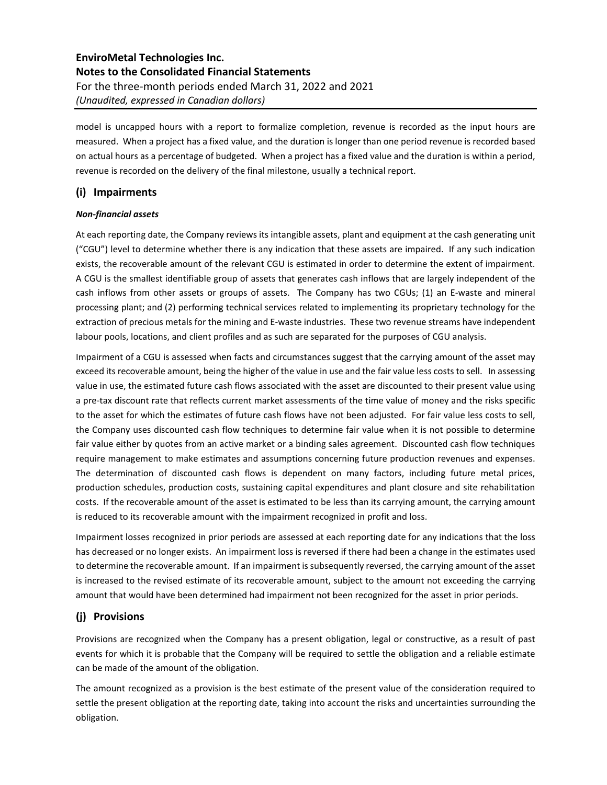model is uncapped hours with a report to formalize completion, revenue is recorded as the input hours are measured. When a project has a fixed value, and the duration is longer than one period revenue is recorded based on actual hours as a percentage of budgeted. When a project has a fixed value and the duration is within a period, revenue is recorded on the delivery of the final milestone, usually a technical report.

# **(i) Impairments**

### *Non-financial assets*

At each reporting date, the Company reviews its intangible assets, plant and equipment at the cash generating unit ("CGU") level to determine whether there is any indication that these assets are impaired. If any such indication exists, the recoverable amount of the relevant CGU is estimated in order to determine the extent of impairment. A CGU is the smallest identifiable group of assets that generates cash inflows that are largely independent of the cash inflows from other assets or groups of assets. The Company has two CGUs; (1) an E-waste and mineral processing plant; and (2) performing technical services related to implementing its proprietary technology for the extraction of precious metals for the mining and E-waste industries. These two revenue streams have independent labour pools, locations, and client profiles and as such are separated for the purposes of CGU analysis.

Impairment of a CGU is assessed when facts and circumstances suggest that the carrying amount of the asset may exceed its recoverable amount, being the higher of the value in use and the fair value less costs to sell. In assessing value in use, the estimated future cash flows associated with the asset are discounted to their present value using a pre-tax discount rate that reflects current market assessments of the time value of money and the risks specific to the asset for which the estimates of future cash flows have not been adjusted. For fair value less costs to sell, the Company uses discounted cash flow techniques to determine fair value when it is not possible to determine fair value either by quotes from an active market or a binding sales agreement. Discounted cash flow techniques require management to make estimates and assumptions concerning future production revenues and expenses. The determination of discounted cash flows is dependent on many factors, including future metal prices, production schedules, production costs, sustaining capital expenditures and plant closure and site rehabilitation costs. If the recoverable amount of the asset is estimated to be less than its carrying amount, the carrying amount is reduced to its recoverable amount with the impairment recognized in profit and loss.

Impairment losses recognized in prior periods are assessed at each reporting date for any indications that the loss has decreased or no longer exists. An impairment loss is reversed if there had been a change in the estimates used to determine the recoverable amount. If an impairment is subsequently reversed, the carrying amount of the asset is increased to the revised estimate of its recoverable amount, subject to the amount not exceeding the carrying amount that would have been determined had impairment not been recognized for the asset in prior periods.

# **(j) Provisions**

Provisions are recognized when the Company has a present obligation, legal or constructive, as a result of past events for which it is probable that the Company will be required to settle the obligation and a reliable estimate can be made of the amount of the obligation.

The amount recognized as a provision is the best estimate of the present value of the consideration required to settle the present obligation at the reporting date, taking into account the risks and uncertainties surrounding the obligation.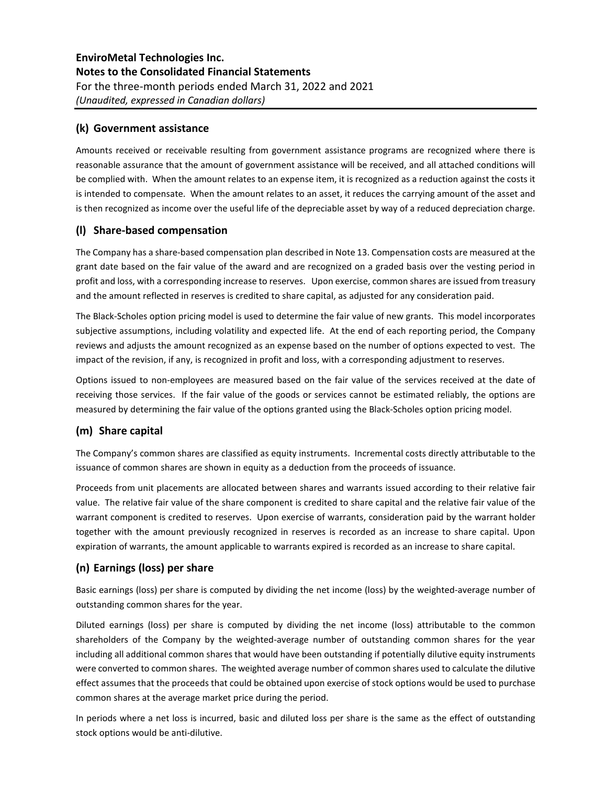### **(k) Government assistance**

Amounts received or receivable resulting from government assistance programs are recognized where there is reasonable assurance that the amount of government assistance will be received, and all attached conditions will be complied with. When the amount relates to an expense item, it is recognized as a reduction against the costs it is intended to compensate. When the amount relates to an asset, it reduces the carrying amount of the asset and is then recognized as income over the useful life of the depreciable asset by way of a reduced depreciation charge.

### **(l) Share-based compensation**

The Company has a share-based compensation plan described in Note 13. Compensation costs are measured at the grant date based on the fair value of the award and are recognized on a graded basis over the vesting period in profit and loss, with a corresponding increase to reserves. Upon exercise, common shares are issued from treasury and the amount reflected in reserves is credited to share capital, as adjusted for any consideration paid.

The Black-Scholes option pricing model is used to determine the fair value of new grants. This model incorporates subjective assumptions, including volatility and expected life. At the end of each reporting period, the Company reviews and adjusts the amount recognized as an expense based on the number of options expected to vest. The impact of the revision, if any, is recognized in profit and loss, with a corresponding adjustment to reserves.

Options issued to non-employees are measured based on the fair value of the services received at the date of receiving those services. If the fair value of the goods or services cannot be estimated reliably, the options are measured by determining the fair value of the options granted using the Black-Scholes option pricing model.

### **(m) Share capital**

The Company's common shares are classified as equity instruments. Incremental costs directly attributable to the issuance of common shares are shown in equity as a deduction from the proceeds of issuance.

Proceeds from unit placements are allocated between shares and warrants issued according to their relative fair value. The relative fair value of the share component is credited to share capital and the relative fair value of the warrant component is credited to reserves. Upon exercise of warrants, consideration paid by the warrant holder together with the amount previously recognized in reserves is recorded as an increase to share capital. Upon expiration of warrants, the amount applicable to warrants expired is recorded as an increase to share capital.

### **(n) Earnings (loss) per share**

Basic earnings (loss) per share is computed by dividing the net income (loss) by the weighted-average number of outstanding common shares for the year.

Diluted earnings (loss) per share is computed by dividing the net income (loss) attributable to the common shareholders of the Company by the weighted-average number of outstanding common shares for the year including all additional common shares that would have been outstanding if potentially dilutive equity instruments were converted to common shares. The weighted average number of common shares used to calculate the dilutive effect assumes that the proceeds that could be obtained upon exercise of stock options would be used to purchase common shares at the average market price during the period.

In periods where a net loss is incurred, basic and diluted loss per share is the same as the effect of outstanding stock options would be anti-dilutive.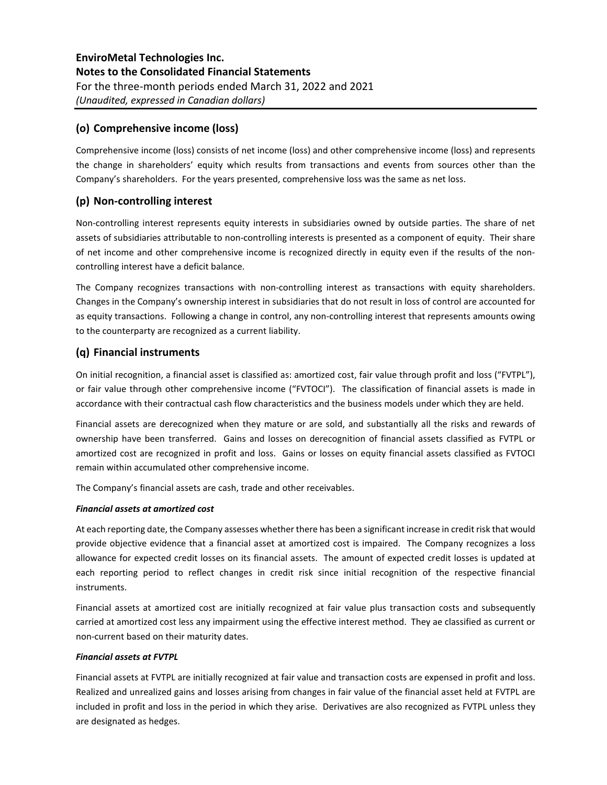### **(o) Comprehensive income (loss)**

Comprehensive income (loss) consists of net income (loss) and other comprehensive income (loss) and represents the change in shareholders' equity which results from transactions and events from sources other than the Company's shareholders. For the years presented, comprehensive loss was the same as net loss.

### **(p) Non-controlling interest**

Non-controlling interest represents equity interests in subsidiaries owned by outside parties. The share of net assets of subsidiaries attributable to non-controlling interests is presented as a component of equity. Their share of net income and other comprehensive income is recognized directly in equity even if the results of the noncontrolling interest have a deficit balance.

The Company recognizes transactions with non-controlling interest as transactions with equity shareholders. Changes in the Company's ownership interest in subsidiaries that do not result in loss of control are accounted for as equity transactions. Following a change in control, any non-controlling interest that represents amounts owing to the counterparty are recognized as a current liability.

### **(q) Financial instruments**

On initial recognition, a financial asset is classified as: amortized cost, fair value through profit and loss ("FVTPL"), or fair value through other comprehensive income ("FVTOCI"). The classification of financial assets is made in accordance with their contractual cash flow characteristics and the business models under which they are held.

Financial assets are derecognized when they mature or are sold, and substantially all the risks and rewards of ownership have been transferred. Gains and losses on derecognition of financial assets classified as FVTPL or amortized cost are recognized in profit and loss. Gains or losses on equity financial assets classified as FVTOCI remain within accumulated other comprehensive income.

The Company's financial assets are cash, trade and other receivables.

#### *Financial assets at amortized cost*

At each reporting date, the Company assesses whether there has been a significant increase in credit risk that would provide objective evidence that a financial asset at amortized cost is impaired. The Company recognizes a loss allowance for expected credit losses on its financial assets. The amount of expected credit losses is updated at each reporting period to reflect changes in credit risk since initial recognition of the respective financial instruments.

Financial assets at amortized cost are initially recognized at fair value plus transaction costs and subsequently carried at amortized cost less any impairment using the effective interest method. They ae classified as current or non-current based on their maturity dates.

#### *Financial assets at FVTPL*

Financial assets at FVTPL are initially recognized at fair value and transaction costs are expensed in profit and loss. Realized and unrealized gains and losses arising from changes in fair value of the financial asset held at FVTPL are included in profit and loss in the period in which they arise. Derivatives are also recognized as FVTPL unless they are designated as hedges.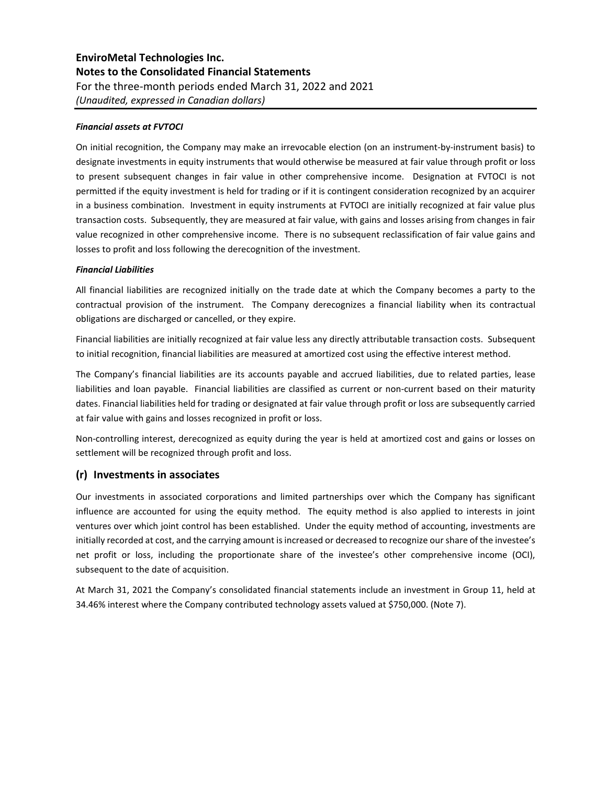#### *Financial assets at FVTOCI*

On initial recognition, the Company may make an irrevocable election (on an instrument-by-instrument basis) to designate investments in equity instruments that would otherwise be measured at fair value through profit or loss to present subsequent changes in fair value in other comprehensive income. Designation at FVTOCI is not permitted if the equity investment is held for trading or if it is contingent consideration recognized by an acquirer in a business combination. Investment in equity instruments at FVTOCI are initially recognized at fair value plus transaction costs. Subsequently, they are measured at fair value, with gains and losses arising from changes in fair value recognized in other comprehensive income. There is no subsequent reclassification of fair value gains and losses to profit and loss following the derecognition of the investment.

#### *Financial Liabilities*

All financial liabilities are recognized initially on the trade date at which the Company becomes a party to the contractual provision of the instrument. The Company derecognizes a financial liability when its contractual obligations are discharged or cancelled, or they expire.

Financial liabilities are initially recognized at fair value less any directly attributable transaction costs. Subsequent to initial recognition, financial liabilities are measured at amortized cost using the effective interest method.

The Company's financial liabilities are its accounts payable and accrued liabilities, due to related parties, lease liabilities and loan payable. Financial liabilities are classified as current or non-current based on their maturity dates. Financial liabilities held for trading or designated at fair value through profit or loss are subsequently carried at fair value with gains and losses recognized in profit or loss.

Non-controlling interest, derecognized as equity during the year is held at amortized cost and gains or losses on settlement will be recognized through profit and loss.

### **(r) Investments in associates**

Our investments in associated corporations and limited partnerships over which the Company has significant influence are accounted for using the equity method. The equity method is also applied to interests in joint ventures over which joint control has been established. Under the equity method of accounting, investments are initially recorded at cost, and the carrying amount is increased or decreased to recognize our share of the investee's net profit or loss, including the proportionate share of the investee's other comprehensive income (OCI), subsequent to the date of acquisition.

At March 31, 2021 the Company's consolidated financial statements include an investment in Group 11, held at 34.46% interest where the Company contributed technology assets valued at \$750,000. (Note 7).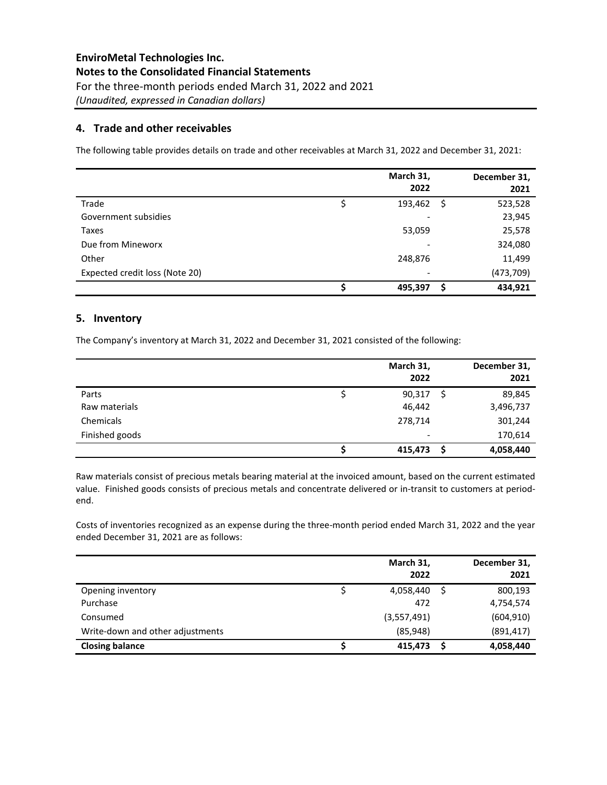### **4. Trade and other receivables**

The following table provides details on trade and other receivables at March 31, 2022 and December 31, 2021:

|                                | March 31,<br>2022 | December 31,<br>2021 |
|--------------------------------|-------------------|----------------------|
| Trade                          | 193,462<br>-\$    | 523,528              |
| Government subsidies           |                   | 23,945               |
| Taxes                          | 53,059            | 25,578               |
| Due from Mineworx              |                   | 324,080              |
| Other                          | 248,876           | 11,499               |
| Expected credit loss (Note 20) |                   | (473, 709)           |
|                                | 495,397<br>\$     | 434,921              |

### **5. Inventory**

The Company's inventory at March 31, 2022 and December 31, 2021 consisted of the following:

|                | March 31,<br>2022        | December 31,<br>2021 |
|----------------|--------------------------|----------------------|
| Parts          | 90,317<br>S              | 89,845               |
| Raw materials  | 46,442                   | 3,496,737            |
| Chemicals      | 278,714                  | 301,244              |
| Finished goods | $\overline{\phantom{0}}$ | 170,614              |
|                | 415,473<br>S             | 4,058,440            |

Raw materials consist of precious metals bearing material at the invoiced amount, based on the current estimated value. Finished goods consists of precious metals and concentrate delivered or in-transit to customers at periodend.

Costs of inventories recognized as an expense during the three-month period ended March 31, 2022 and the year ended December 31, 2021 are as follows:

|                                  | March 31,<br>2022 | December 31,<br>2021 |
|----------------------------------|-------------------|----------------------|
| Opening inventory                | 4,058,440         | 800,193              |
| Purchase                         | 472               | 4,754,574            |
| Consumed                         | (3,557,491)       | (604, 910)           |
| Write-down and other adjustments | (85, 948)         | (891, 417)           |
| <b>Closing balance</b>           | 415,473           | 4,058,440            |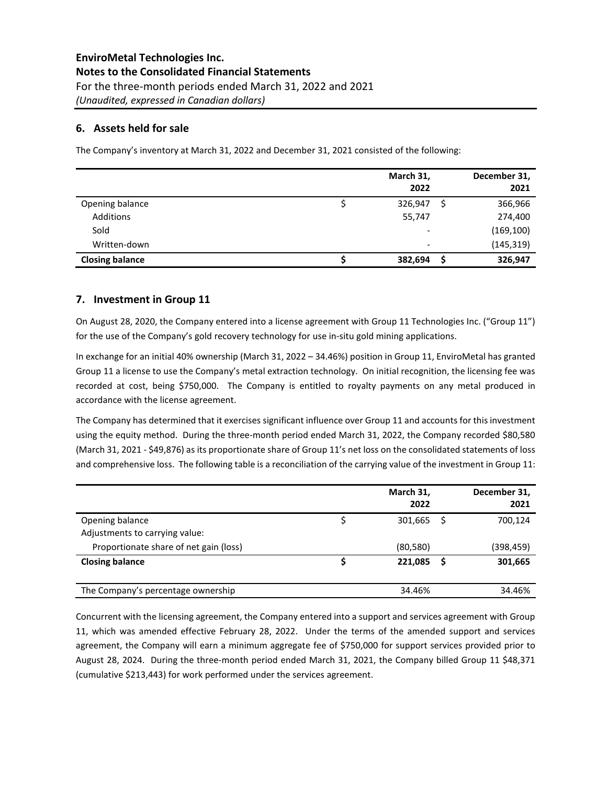### **6. Assets held for sale**

The Company's inventory at March 31, 2022 and December 31, 2021 consisted of the following:

|                        | March 31,<br>2022        |    | December 31,<br>2021 |
|------------------------|--------------------------|----|----------------------|
| Opening balance        | 326,947                  | \$ | 366,966              |
| Additions              | 55,747                   |    | 274,400              |
| Sold                   | $\overline{\phantom{a}}$ |    | (169, 100)           |
| Written-down           | $\overline{\phantom{a}}$ |    | (145, 319)           |
| <b>Closing balance</b> | 382,694                  | S  | 326,947              |

### **7. Investment in Group 11**

On August 28, 2020, the Company entered into a license agreement with Group 11 Technologies Inc. ("Group 11") for the use of the Company's gold recovery technology for use in-situ gold mining applications.

In exchange for an initial 40% ownership (March 31, 2022 – 34.46%) position in Group 11, EnviroMetal has granted Group 11 a license to use the Company's metal extraction technology. On initial recognition, the licensing fee was recorded at cost, being \$750,000. The Company is entitled to royalty payments on any metal produced in accordance with the license agreement.

The Company has determined that it exercises significant influence over Group 11 and accounts for this investment using the equity method. During the three-month period ended March 31, 2022, the Company recorded \$80,580 (March 31, 2021 - \$49,876) as its proportionate share of Group 11's net loss on the consolidated statements of loss and comprehensive loss. The following table is a reconciliation of the carrying value of the investment in Group 11:

|                                        | March 31,<br>2022 |   | December 31,<br>2021 |
|----------------------------------------|-------------------|---|----------------------|
| Opening balance                        | 301,665           | S | 700,124              |
| Adjustments to carrying value:         |                   |   |                      |
| Proportionate share of net gain (loss) | (80, 580)         |   | (398,459)            |
| <b>Closing balance</b>                 | 221,085           |   | 301,665              |
|                                        |                   |   |                      |
| The Company's percentage ownership     | 34.46%            |   | 34.46%               |

Concurrent with the licensing agreement, the Company entered into a support and services agreement with Group 11, which was amended effective February 28, 2022. Under the terms of the amended support and services agreement, the Company will earn a minimum aggregate fee of \$750,000 for support services provided prior to August 28, 2024. During the three-month period ended March 31, 2021, the Company billed Group 11 \$48,371 (cumulative \$213,443) for work performed under the services agreement.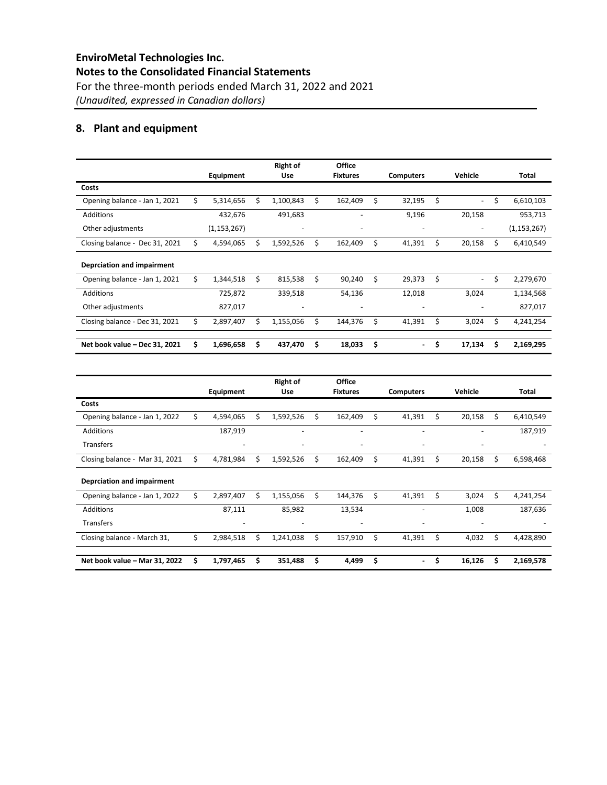# **8. Plant and equipment**

|                                | Equipment       |    | <b>Right of</b><br><b>Use</b> |    | Office<br><b>Fixtures</b> |    | <b>Computers</b>         | Vehicle                        |    | Total         |
|--------------------------------|-----------------|----|-------------------------------|----|---------------------------|----|--------------------------|--------------------------------|----|---------------|
| Costs                          |                 |    |                               |    |                           |    |                          |                                |    |               |
| Opening balance - Jan 1, 2021  | \$<br>5,314,656 | Ś. | 1,100,843                     | \$ | 162,409                   | Ś. | 32,195                   | \$<br>$\overline{\phantom{0}}$ | \$ | 6,610,103     |
| <b>Additions</b>               | 432,676         |    | 491,683                       |    |                           |    | 9,196                    | 20,158                         |    | 953,713       |
| Other adjustments              | (1, 153, 267)   |    | ٠                             |    | ٠                         |    | $\overline{\phantom{0}}$ | ٠                              |    | (1, 153, 267) |
| Closing balance - Dec 31, 2021 | \$<br>4,594,065 | \$ | 1,592,526                     | \$ | 162,409                   | \$ | 41,391                   | \$<br>20,158                   | Ś. | 6,410,549     |
| Deprciation and impairment     |                 |    |                               |    |                           |    |                          |                                |    |               |
| Opening balance - Jan 1, 2021  | \$<br>1,344,518 | \$ | 815,538                       | \$ | 90,240                    | Ś  | 29,373                   | \$<br>$\overline{\phantom{0}}$ | \$ | 2,279,670     |
| <b>Additions</b>               | 725,872         |    | 339,518                       |    | 54,136                    |    | 12,018                   | 3,024                          |    | 1,134,568     |
| Other adjustments              | 827,017         |    |                               |    |                           |    | $\overline{\phantom{a}}$ |                                |    | 827,017       |
| Closing balance - Dec 31, 2021 | \$<br>2,897,407 | Ś  | 1,155,056                     | Ś  | 144,376                   | Ś  | 41,391                   | \$<br>3,024                    | Ś. | 4,241,254     |
|                                |                 |    |                               |    |                           |    |                          |                                |    |               |
| Net book value - Dec 31, 2021  | \$<br>1,696,658 | \$ | 437,470                       | \$ | 18,033                    | \$ | ٠.                       | \$<br>17,134                   | Ś. | 2,169,295     |

|                                |    | Equipment                |    | <b>Right of</b><br><b>Use</b> |    | Office<br><b>Fixtures</b> |    | <b>Computers</b>         |    | Vehicle |    | Total     |
|--------------------------------|----|--------------------------|----|-------------------------------|----|---------------------------|----|--------------------------|----|---------|----|-----------|
| Costs                          |    |                          |    |                               |    |                           |    |                          |    |         |    |           |
| Opening balance - Jan 1, 2022  | \$ | 4,594,065                | Ś. | 1,592,526                     | Ŝ. | 162,409                   | \$ | 41,391                   | Ś. | 20,158  | \$ | 6,410,549 |
| <b>Additions</b>               |    | 187,919                  |    | ٠                             |    |                           |    | $\overline{\phantom{a}}$ |    |         |    | 187,919   |
| <b>Transfers</b>               |    | $\overline{\phantom{a}}$ |    | $\qquad \qquad \blacksquare$  |    | $\overline{\phantom{0}}$  |    | $\overline{\phantom{a}}$ |    |         |    |           |
| Closing balance - Mar 31, 2021 | Ś  | 4,781,984                | Ś  | 1,592,526                     | Ś. | 162,409                   | Ś  | 41,391                   | Ś  | 20,158  | Ś. | 6,598,468 |
| Deprciation and impairment     |    |                          |    |                               |    |                           |    |                          |    |         |    |           |
| Opening balance - Jan 1, 2022  | Ś. | 2,897,407                | Ś  | 1,155,056                     | Ś. | 144,376                   | Ś  | 41,391                   | Ś. | 3,024   | Ś  | 4,241,254 |
| <b>Additions</b>               |    | 87,111                   |    | 85,982                        |    | 13,534                    |    | $\overline{\phantom{a}}$ |    | 1,008   |    | 187,636   |
| <b>Transfers</b>               |    | $\overline{\phantom{0}}$ |    | $\overline{\phantom{0}}$      |    | $\overline{\phantom{0}}$  |    | $\overline{\phantom{a}}$ |    |         |    |           |
| Closing balance - March 31,    | \$ | 2,984,518                | Ś  | 1,241,038                     | Ś  | 157,910                   | Ś  | 41,391                   | Ś  | 4,032   | Ś  | 4,428,890 |
|                                |    |                          |    |                               |    |                           |    |                          |    |         |    |           |
| Net book value - Mar 31, 2022  | \$ | 1,797,465                | \$ | 351,488                       | \$ | 4,499                     | \$ | ٠                        | \$ | 16,126  | Ś  | 2,169,578 |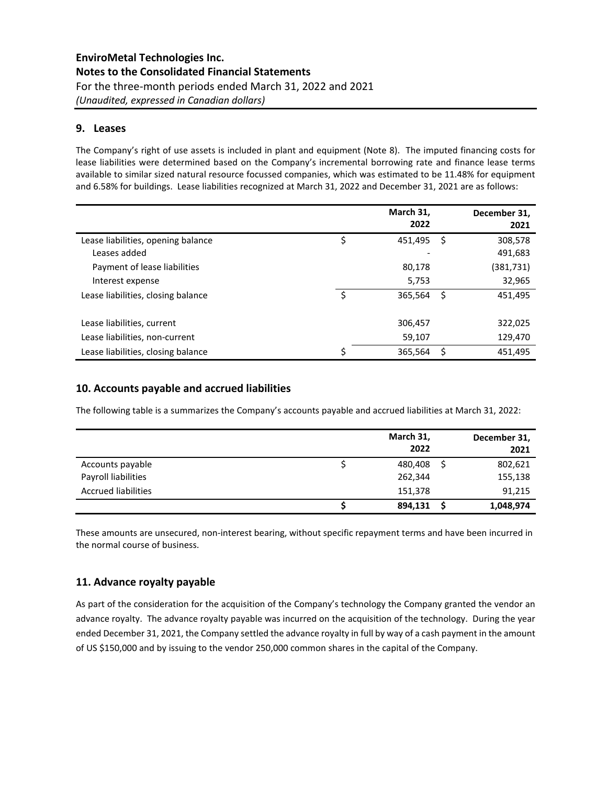### **9. Leases**

The Company's right of use assets is included in plant and equipment (Note 8). The imputed financing costs for lease liabilities were determined based on the Company's incremental borrowing rate and finance lease terms available to similar sized natural resource focussed companies, which was estimated to be 11.48% for equipment and 6.58% for buildings. Lease liabilities recognized at March 31, 2022 and December 31, 2021 are as follows:

|                                    | March 31,<br>2022 |   | December 31,<br>2021 |
|------------------------------------|-------------------|---|----------------------|
| Lease liabilities, opening balance | \$<br>451,495     | Ś | 308,578              |
| Leases added                       |                   |   | 491,683              |
| Payment of lease liabilities       | 80,178            |   | (381,731)            |
| Interest expense                   | 5,753             |   | 32,965               |
| Lease liabilities, closing balance | 365,564           | Ś | 451,495              |
|                                    |                   |   |                      |
| Lease liabilities, current         | 306,457           |   | 322,025              |
| Lease liabilities, non-current     | 59,107            |   | 129,470              |
| Lease liabilities, closing balance | 365,564           | Ś | 451,495              |

### **10. Accounts payable and accrued liabilities**

The following table is a summarizes the Company's accounts payable and accrued liabilities at March 31, 2022:

|                            | March 31,<br>2022 | December 31,<br>2021 |
|----------------------------|-------------------|----------------------|
| Accounts payable           | 480,408           | 802,621              |
| Payroll liabilities        | 262,344           | 155,138              |
| <b>Accrued liabilities</b> | 151,378           | 91,215               |
|                            | 894,131           | 1,048,974            |

These amounts are unsecured, non-interest bearing, without specific repayment terms and have been incurred in the normal course of business.

### **11. Advance royalty payable**

As part of the consideration for the acquisition of the Company's technology the Company granted the vendor an advance royalty. The advance royalty payable was incurred on the acquisition of the technology. During the year ended December 31, 2021, the Company settled the advance royalty in full by way of a cash payment in the amount of US \$150,000 and by issuing to the vendor 250,000 common shares in the capital of the Company.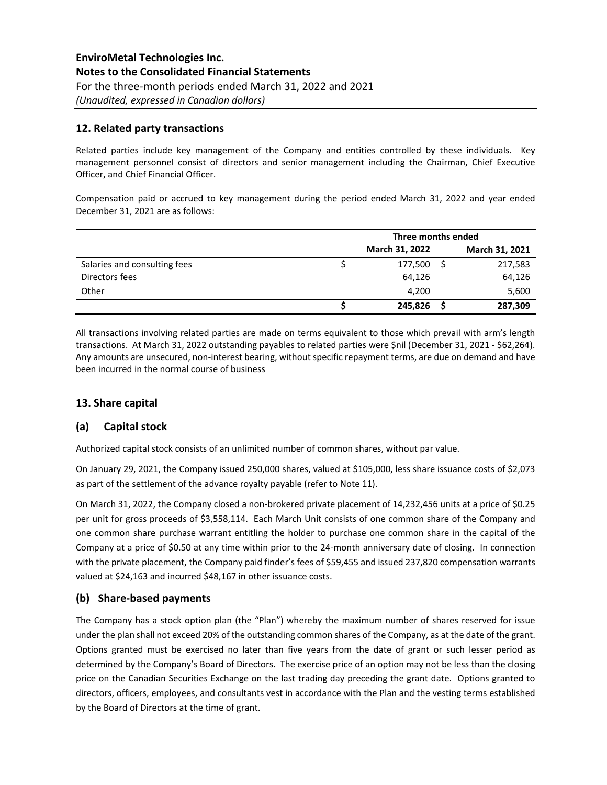### **12. Related party transactions**

Related parties include key management of the Company and entities controlled by these individuals. Key management personnel consist of directors and senior management including the Chairman, Chief Executive Officer, and Chief Financial Officer.

Compensation paid or accrued to key management during the period ended March 31, 2022 and year ended December 31, 2021 are as follows:

|                              | Three months ended |  |                |  |  |
|------------------------------|--------------------|--|----------------|--|--|
|                              | March 31, 2022     |  | March 31, 2021 |  |  |
| Salaries and consulting fees | 177,500            |  | 217,583        |  |  |
| Directors fees               | 64,126             |  | 64,126         |  |  |
| Other                        | 4,200              |  | 5,600          |  |  |
|                              | 245,826            |  | 287,309        |  |  |

All transactions involving related parties are made on terms equivalent to those which prevail with arm's length transactions. At March 31, 2022 outstanding payables to related parties were \$nil (December 31, 2021 - \$62,264). Any amounts are unsecured, non-interest bearing, without specific repayment terms, are due on demand and have been incurred in the normal course of business

### **13. Share capital**

### **(a) Capital stock**

Authorized capital stock consists of an unlimited number of common shares, without par value.

On January 29, 2021, the Company issued 250,000 shares, valued at \$105,000, less share issuance costs of \$2,073 as part of the settlement of the advance royalty payable (refer to Note 11).

On March 31, 2022, the Company closed a non-brokered private placement of 14,232,456 units at a price of \$0.25 per unit for gross proceeds of \$3,558,114. Each March Unit consists of one common share of the Company and one common share purchase warrant entitling the holder to purchase one common share in the capital of the Company at a price of \$0.50 at any time within prior to the 24-month anniversary date of closing. In connection with the private placement, the Company paid finder's fees of \$59,455 and issued 237,820 compensation warrants valued at \$24,163 and incurred \$48,167 in other issuance costs.

### **(b) Share-based payments**

The Company has a stock option plan (the "Plan") whereby the maximum number of shares reserved for issue under the plan shall not exceed 20% of the outstanding common shares of the Company, as at the date of the grant. Options granted must be exercised no later than five years from the date of grant or such lesser period as determined by the Company's Board of Directors. The exercise price of an option may not be less than the closing price on the Canadian Securities Exchange on the last trading day preceding the grant date. Options granted to directors, officers, employees, and consultants vest in accordance with the Plan and the vesting terms established by the Board of Directors at the time of grant.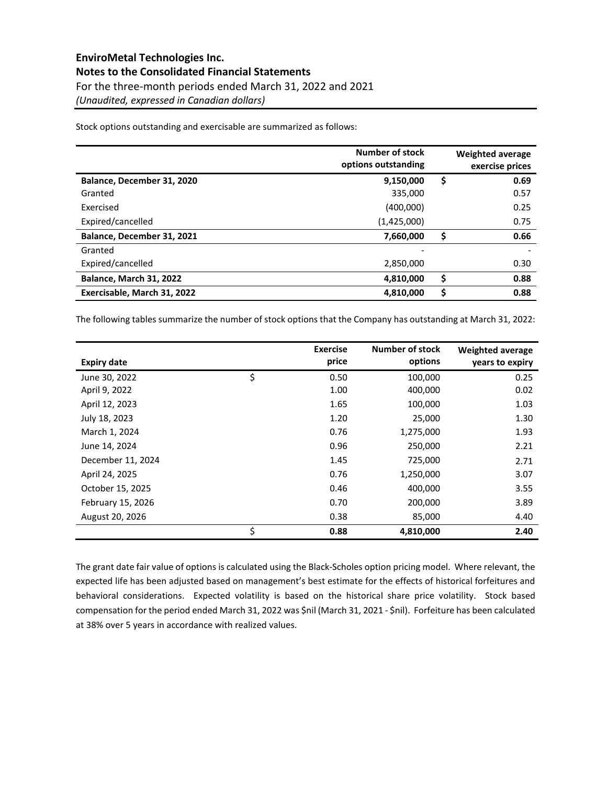Stock options outstanding and exercisable are summarized as follows:

|                                | Number of stock<br>options outstanding | Weighted average<br>exercise prices |
|--------------------------------|----------------------------------------|-------------------------------------|
| Balance, December 31, 2020     | 9,150,000                              | \$<br>0.69                          |
| Granted                        | 335,000                                | 0.57                                |
| Exercised                      | (400,000)                              | 0.25                                |
| Expired/cancelled              | (1,425,000)                            | 0.75                                |
| Balance, December 31, 2021     | 7,660,000                              | \$<br>0.66                          |
| Granted                        | ۰                                      |                                     |
| Expired/cancelled              | 2,850,000                              | 0.30                                |
| <b>Balance, March 31, 2022</b> | 4,810,000                              | \$<br>0.88                          |
| Exercisable, March 31, 2022    | 4,810,000                              | \$<br>0.88                          |

The following tables summarize the number of stock options that the Company has outstanding at March 31, 2022:

| <b>Expiry date</b> | <b>Exercise</b><br>price | Number of stock<br>options | <b>Weighted average</b><br>years to expiry |
|--------------------|--------------------------|----------------------------|--------------------------------------------|
| June 30, 2022      | \$<br>0.50               | 100,000                    | 0.25                                       |
| April 9, 2022      | 1.00                     | 400,000                    | 0.02                                       |
| April 12, 2023     | 1.65                     | 100,000                    | 1.03                                       |
| July 18, 2023      | 1.20                     | 25,000                     | 1.30                                       |
| March 1, 2024      | 0.76                     | 1,275,000                  | 1.93                                       |
| June 14, 2024      | 0.96                     | 250,000                    | 2.21                                       |
| December 11, 2024  | 1.45                     | 725,000                    | 2.71                                       |
| April 24, 2025     | 0.76                     | 1,250,000                  | 3.07                                       |
| October 15, 2025   | 0.46                     | 400,000                    | 3.55                                       |
| February 15, 2026  | 0.70                     | 200,000                    | 3.89                                       |
| August 20, 2026    | 0.38                     | 85,000                     | 4.40                                       |
|                    | \$<br>0.88               | 4,810,000                  | 2.40                                       |

The grant date fair value of options is calculated using the Black-Scholes option pricing model. Where relevant, the expected life has been adjusted based on management's best estimate for the effects of historical forfeitures and behavioral considerations. Expected volatility is based on the historical share price volatility. Stock based compensation for the period ended March 31, 2022 was \$nil (March 31, 2021 - \$nil). Forfeiture has been calculated at 38% over 5 years in accordance with realized values.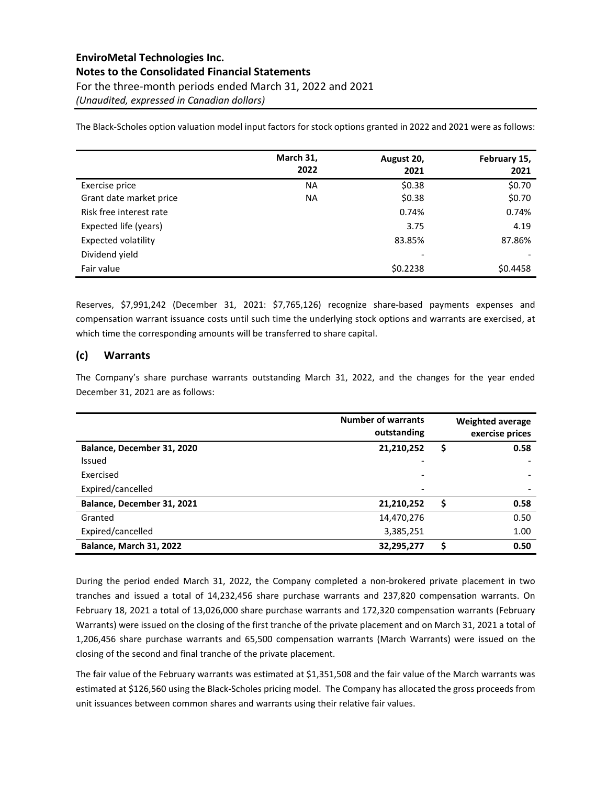# **EnviroMetal Technologies Inc. Notes to the Consolidated Financial Statements** For the three-month periods ended March 31, 2022 and 2021 *(Unaudited, expressed in Canadian dollars)*

The Black-Scholes option valuation model input factors for stock options granted in 2022 and 2021 were as follows:

|                            | March 31, | August 20, | February 15, |
|----------------------------|-----------|------------|--------------|
|                            | 2022      | 2021       | 2021         |
| Exercise price             | <b>NA</b> | \$0.38     | \$0.70       |
| Grant date market price    | ΝA        | \$0.38     | \$0.70       |
| Risk free interest rate    |           | 0.74%      | 0.74%        |
| Expected life (years)      |           | 3.75       | 4.19         |
| <b>Expected volatility</b> |           | 83.85%     | 87.86%       |
| Dividend yield             |           | -          |              |
| Fair value                 |           | \$0.2238   | \$0.4458     |

Reserves, \$7,991,242 (December 31, 2021: \$7,765,126) recognize share-based payments expenses and compensation warrant issuance costs until such time the underlying stock options and warrants are exercised, at which time the corresponding amounts will be transferred to share capital.

### **(c) Warrants**

The Company's share purchase warrants outstanding March 31, 2022, and the changes for the year ended December 31, 2021 are as follows:

|                            | <b>Number of warrants</b><br>outstanding |    | Weighted average<br>exercise prices |
|----------------------------|------------------------------------------|----|-------------------------------------|
| Balance, December 31, 2020 | 21,210,252                               | \$ | 0.58                                |
| Issued                     |                                          |    |                                     |
| Exercised                  | -                                        |    |                                     |
| Expired/cancelled          |                                          |    |                                     |
| Balance, December 31, 2021 | 21,210,252                               | S  | 0.58                                |
| Granted                    | 14,470,276                               |    | 0.50                                |
| Expired/cancelled          | 3,385,251                                |    | 1.00                                |
| Balance, March 31, 2022    | 32,295,277                               | S  | 0.50                                |

During the period ended March 31, 2022, the Company completed a non-brokered private placement in two tranches and issued a total of 14,232,456 share purchase warrants and 237,820 compensation warrants. On February 18, 2021 a total of 13,026,000 share purchase warrants and 172,320 compensation warrants (February Warrants) were issued on the closing of the first tranche of the private placement and on March 31, 2021 a total of 1,206,456 share purchase warrants and 65,500 compensation warrants (March Warrants) were issued on the closing of the second and final tranche of the private placement.

The fair value of the February warrants was estimated at \$1,351,508 and the fair value of the March warrants was estimated at \$126,560 using the Black-Scholes pricing model. The Company has allocated the gross proceeds from unit issuances between common shares and warrants using their relative fair values.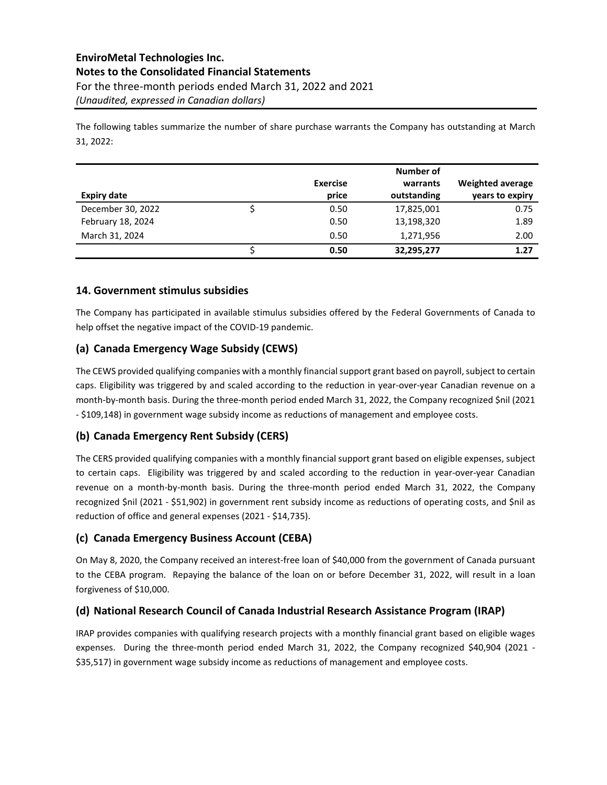The following tables summarize the number of share purchase warrants the Company has outstanding at March 31, 2022:

|                    |                 | Number of   |                         |
|--------------------|-----------------|-------------|-------------------------|
|                    | <b>Exercise</b> | warrants    | <b>Weighted average</b> |
| <b>Expiry date</b> | price           | outstanding | years to expiry         |
| December 30, 2022  | 0.50            | 17,825,001  | 0.75                    |
| February 18, 2024  | 0.50            | 13,198,320  | 1.89                    |
| March 31, 2024     | 0.50            | 1,271,956   | 2.00                    |
|                    | 0.50            | 32,295,277  | 1.27                    |

### **14. Government stimulus subsidies**

The Company has participated in available stimulus subsidies offered by the Federal Governments of Canada to help offset the negative impact of the COVID-19 pandemic.

### **(a) Canada Emergency Wage Subsidy (CEWS)**

The CEWS provided qualifying companies with a monthly financial support grant based on payroll, subject to certain caps. Eligibility was triggered by and scaled according to the reduction in year-over-year Canadian revenue on a month-by-month basis. During the three-month period ended March 31, 2022, the Company recognized \$nil (2021 - \$109,148) in government wage subsidy income as reductions of management and employee costs.

### **(b) Canada Emergency Rent Subsidy (CERS)**

The CERS provided qualifying companies with a monthly financial support grant based on eligible expenses, subject to certain caps. Eligibility was triggered by and scaled according to the reduction in year-over-year Canadian revenue on a month-by-month basis. During the three-month period ended March 31, 2022, the Company recognized \$nil (2021 - \$51,902) in government rent subsidy income as reductions of operating costs, and \$nil as reduction of office and general expenses (2021 - \$14,735).

### **(c) Canada Emergency Business Account (CEBA)**

On May 8, 2020, the Company received an interest-free loan of \$40,000 from the government of Canada pursuant to the CEBA program. Repaying the balance of the loan on or before December 31, 2022, will result in a loan forgiveness of \$10,000.

### **(d) National Research Council of Canada Industrial Research Assistance Program (IRAP)**

IRAP provides companies with qualifying research projects with a monthly financial grant based on eligible wages expenses. During the three-month period ended March 31, 2022, the Company recognized \$40,904 (2021 - \$35,517) in government wage subsidy income as reductions of management and employee costs.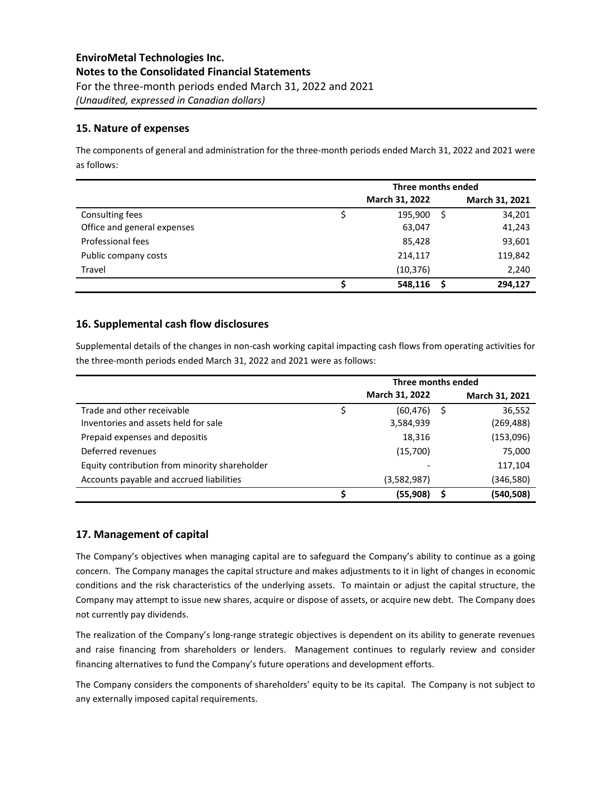### **15. Nature of expenses**

The components of general and administration for the three-month periods ended March 31, 2022 and 2021 were as follows:

|                             | Three months ended |                |                |  |  |  |  |
|-----------------------------|--------------------|----------------|----------------|--|--|--|--|
|                             |                    | March 31, 2022 | March 31, 2021 |  |  |  |  |
| Consulting fees             |                    | 195,900<br>.S  | 34,201         |  |  |  |  |
| Office and general expenses |                    | 63,047         | 41,243         |  |  |  |  |
| Professional fees           |                    | 85,428         | 93,601         |  |  |  |  |
| Public company costs        |                    | 214,117        | 119,842        |  |  |  |  |
| Travel                      |                    | (10, 376)      | 2,240          |  |  |  |  |
|                             |                    | 548,116        | 294,127        |  |  |  |  |

### **16. Supplemental cash flow disclosures**

Supplemental details of the changes in non-cash working capital impacting cash flows from operating activities for the three-month periods ended March 31, 2022 and 2021 were as follows:

|                                               | Three months ended |                |    |                |  |  |  |
|-----------------------------------------------|--------------------|----------------|----|----------------|--|--|--|
|                                               |                    | March 31, 2022 |    | March 31, 2021 |  |  |  |
| Trade and other receivable                    |                    | (60, 476)      | S. | 36,552         |  |  |  |
| Inventories and assets held for sale          |                    | 3,584,939      |    | (269,488)      |  |  |  |
| Prepaid expenses and depositis                |                    | 18,316         |    | (153,096)      |  |  |  |
| Deferred revenues                             |                    | (15,700)       |    | 75,000         |  |  |  |
| Equity contribution from minority shareholder |                    |                |    | 117,104        |  |  |  |
| Accounts payable and accrued liabilities      |                    | (3,582,987)    |    | (346,580)      |  |  |  |
|                                               |                    | (55,908)       | S  | (540,508)      |  |  |  |

### **17. Management of capital**

The Company's objectives when managing capital are to safeguard the Company's ability to continue as a going concern. The Company manages the capital structure and makes adjustments to it in light of changes in economic conditions and the risk characteristics of the underlying assets. To maintain or adjust the capital structure, the Company may attempt to issue new shares, acquire or dispose of assets, or acquire new debt. The Company does not currently pay dividends.

The realization of the Company's long-range strategic objectives is dependent on its ability to generate revenues and raise financing from shareholders or lenders. Management continues to regularly review and consider financing alternatives to fund the Company's future operations and development efforts.

The Company considers the components of shareholders' equity to be its capital. The Company is not subject to any externally imposed capital requirements.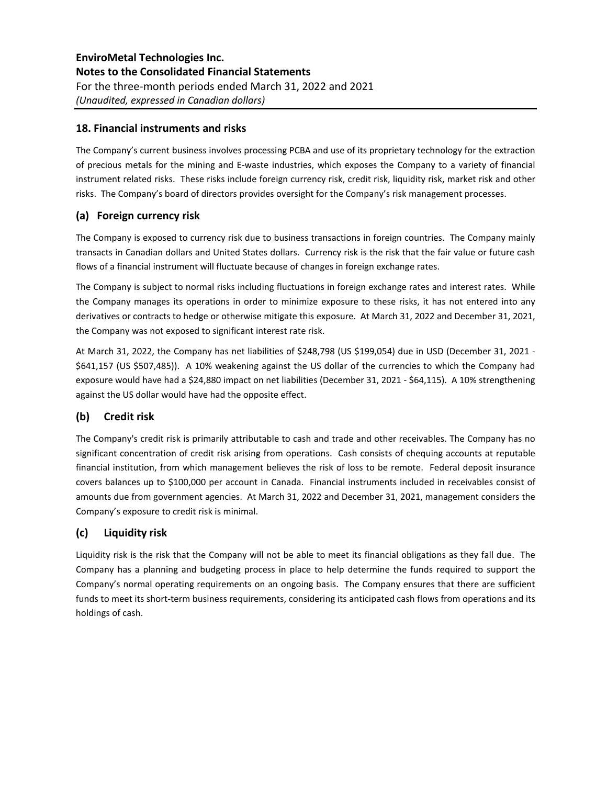### **18. Financial instruments and risks**

The Company's current business involves processing PCBA and use of its proprietary technology for the extraction of precious metals for the mining and E-waste industries, which exposes the Company to a variety of financial instrument related risks. These risks include foreign currency risk, credit risk, liquidity risk, market risk and other risks. The Company's board of directors provides oversight for the Company's risk management processes.

### **(a) Foreign currency risk**

The Company is exposed to currency risk due to business transactions in foreign countries. The Company mainly transacts in Canadian dollars and United States dollars. Currency risk is the risk that the fair value or future cash flows of a financial instrument will fluctuate because of changes in foreign exchange rates.

The Company is subject to normal risks including fluctuations in foreign exchange rates and interest rates. While the Company manages its operations in order to minimize exposure to these risks, it has not entered into any derivatives or contracts to hedge or otherwise mitigate this exposure. At March 31, 2022 and December 31, 2021, the Company was not exposed to significant interest rate risk.

At March 31, 2022, the Company has net liabilities of \$248,798 (US \$199,054) due in USD (December 31, 2021 - \$641,157 (US \$507,485)). A 10% weakening against the US dollar of the currencies to which the Company had exposure would have had a \$24,880 impact on net liabilities (December 31, 2021 - \$64,115). A 10% strengthening against the US dollar would have had the opposite effect.

### **(b) Credit risk**

The Company's credit risk is primarily attributable to cash and trade and other receivables. The Company has no significant concentration of credit risk arising from operations. Cash consists of chequing accounts at reputable financial institution, from which management believes the risk of loss to be remote. Federal deposit insurance covers balances up to \$100,000 per account in Canada. Financial instruments included in receivables consist of amounts due from government agencies. At March 31, 2022 and December 31, 2021, management considers the Company's exposure to credit risk is minimal.

### **(c) Liquidity risk**

Liquidity risk is the risk that the Company will not be able to meet its financial obligations as they fall due. The Company has a planning and budgeting process in place to help determine the funds required to support the Company's normal operating requirements on an ongoing basis. The Company ensures that there are sufficient funds to meet its short-term business requirements, considering its anticipated cash flows from operations and its holdings of cash.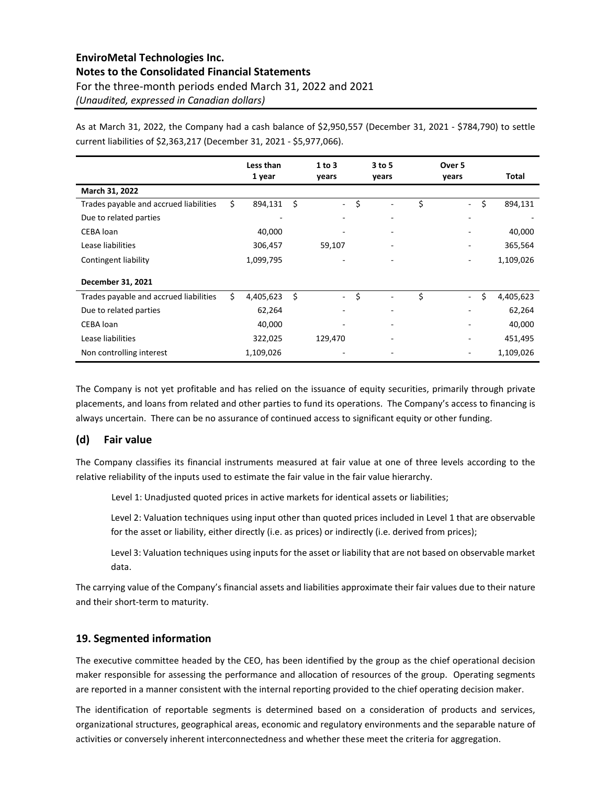# **EnviroMetal Technologies Inc. Notes to the Consolidated Financial Statements** For the three-month periods ended March 31, 2022 and 2021 *(Unaudited, expressed in Canadian dollars)*

As at March 31, 2022, the Company had a cash balance of \$2,950,557 (December 31, 2021 - \$784,790) to settle current liabilities of \$2,363,217 (December 31, 2021 - \$5,977,066).

|                                        |    | Less than<br>1 year | 1 to 3<br>years | 3 to 5<br>years | Over 5<br>years | Total           |
|----------------------------------------|----|---------------------|-----------------|-----------------|-----------------|-----------------|
| March 31, 2022                         |    |                     |                 |                 |                 |                 |
| Trades payable and accrued liabilities | \$ | 894,131             | \$<br>$\sim$    | \$              | \$<br>٠         | \$<br>894,131   |
| Due to related parties                 |    |                     |                 | ۰               | ٠               |                 |
| CEBA loan                              |    | 40,000              |                 |                 |                 | 40,000          |
| Lease liabilities                      |    | 306,457             | 59,107          |                 | -               | 365,564         |
| Contingent liability                   |    | 1,099,795           |                 | ٠               | ۰               | 1,109,026       |
| December 31, 2021                      |    |                     |                 |                 |                 |                 |
| Trades payable and accrued liabilities | Ś  | 4,405,623           | \$<br>$\sim$    | \$              | \$<br>٠         | \$<br>4,405,623 |
| Due to related parties                 |    | 62,264              |                 | ٠               | ۰               | 62,264          |
| CEBA loan                              |    | 40,000              |                 |                 |                 | 40,000          |
| Lease liabilities                      |    | 322,025             | 129,470         |                 | ۰               | 451,495         |
| Non controlling interest               |    | 1,109,026           |                 |                 |                 | 1,109,026       |

The Company is not yet profitable and has relied on the issuance of equity securities, primarily through private placements, and loans from related and other parties to fund its operations. The Company's access to financing is always uncertain. There can be no assurance of continued access to significant equity or other funding.

### **(d) Fair value**

The Company classifies its financial instruments measured at fair value at one of three levels according to the relative reliability of the inputs used to estimate the fair value in the fair value hierarchy.

Level 1: Unadjusted quoted prices in active markets for identical assets or liabilities;

Level 2: Valuation techniques using input other than quoted prices included in Level 1 that are observable for the asset or liability, either directly (i.e. as prices) or indirectly (i.e. derived from prices);

Level 3: Valuation techniques using inputs for the asset or liability that are not based on observable market data.

The carrying value of the Company's financial assets and liabilities approximate their fair values due to their nature and their short-term to maturity.

### **19. Segmented information**

The executive committee headed by the CEO, has been identified by the group as the chief operational decision maker responsible for assessing the performance and allocation of resources of the group. Operating segments are reported in a manner consistent with the internal reporting provided to the chief operating decision maker.

The identification of reportable segments is determined based on a consideration of products and services, organizational structures, geographical areas, economic and regulatory environments and the separable nature of activities or conversely inherent interconnectedness and whether these meet the criteria for aggregation.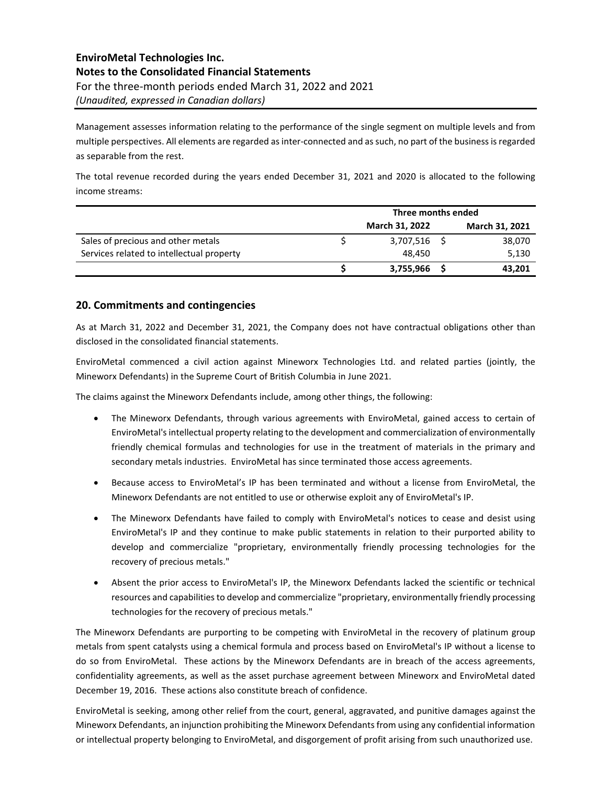Management assesses information relating to the performance of the single segment on multiple levels and from multiple perspectives. All elements are regarded as inter-connected and as such, no part of the business is regarded as separable from the rest.

The total revenue recorded during the years ended December 31, 2021 and 2020 is allocated to the following income streams:

|                                           | Three months ended    |  |                |
|-------------------------------------------|-----------------------|--|----------------|
|                                           | <b>March 31, 2022</b> |  | March 31, 2021 |
| Sales of precious and other metals        | 3,707,516             |  | 38,070         |
| Services related to intellectual property | 48.450                |  | 5,130          |
|                                           | 3,755,966             |  | 43,201         |

### **20. Commitments and contingencies**

As at March 31, 2022 and December 31, 2021, the Company does not have contractual obligations other than disclosed in the consolidated financial statements.

EnviroMetal commenced a civil action against Mineworx Technologies Ltd. and related parties (jointly, the Mineworx Defendants) in the Supreme Court of British Columbia in June 2021.

The claims against the Mineworx Defendants include, among other things, the following:

- The Mineworx Defendants, through various agreements with EnviroMetal, gained access to certain of EnviroMetal's intellectual property relating to the development and commercialization of environmentally friendly chemical formulas and technologies for use in the treatment of materials in the primary and secondary metals industries. EnviroMetal has since terminated those access agreements.
- Because access to EnviroMetal's IP has been terminated and without a license from EnviroMetal, the Mineworx Defendants are not entitled to use or otherwise exploit any of EnviroMetal's IP.
- The Mineworx Defendants have failed to comply with EnviroMetal's notices to cease and desist using EnviroMetal's IP and they continue to make public statements in relation to their purported ability to develop and commercialize "proprietary, environmentally friendly processing technologies for the recovery of precious metals."
- Absent the prior access to EnviroMetal's IP, the Mineworx Defendants lacked the scientific or technical resources and capabilities to develop and commercialize "proprietary, environmentally friendly processing technologies for the recovery of precious metals."

The Mineworx Defendants are purporting to be competing with EnviroMetal in the recovery of platinum group metals from spent catalysts using a chemical formula and process based on EnviroMetal's IP without a license to do so from EnviroMetal. These actions by the Mineworx Defendants are in breach of the access agreements, confidentiality agreements, as well as the asset purchase agreement between Mineworx and EnviroMetal dated December 19, 2016. These actions also constitute breach of confidence.

EnviroMetal is seeking, among other relief from the court, general, aggravated, and punitive damages against the Mineworx Defendants, an injunction prohibiting the Mineworx Defendants from using any confidential information or intellectual property belonging to EnviroMetal, and disgorgement of profit arising from such unauthorized use.